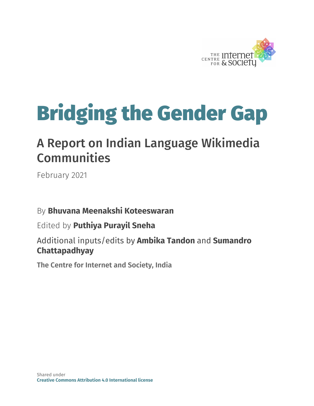

# Bridging the Gender Gap

# A Report on Indian Language Wikimedia **Communities**

February 2021

#### By **Bhuvana Meenakshi Koteeswaran**

#### Edited by **Puthiya Purayil Sneha**

Additional inputs/edits by **Ambika Tandon** and **Sumandro Chattapadhyay**

**The Centre for Internet and Society, India**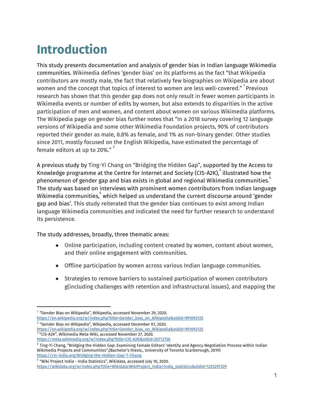# **Introduction**

This study presents documentation and analysis of gender bias in Indian language Wikimedia communities. Wikimedia defines 'gender bias' on its platforms as the fact "that Wikipedia contributors are mostly male, the fact that relatively few biographies on Wikipedia are about women and the concept that topics of interest to women are less well-covered."  $^{\rm 1}$ Previous research has shown that this gender gap does not only result in fewer women participants in Wikimedia events or number of edits by women, but also extends to disparities in the active participation of men and women, and content about women on various Wikimedia platforms. The Wikipedia page on gender bias further notes that "In a 2018 survey covering 12 language versions of Wikipedia and some other Wikimedia Foundation projects, 90% of contributors reported their gender as male, 8.8% as female, and 1% as non-binary gender. Other studies since 2011, mostly focused on the English Wikipedia, have estimated the percentage of female editors at up to 20%."  $^{\text{2}}$ 

A previous study by Ting-Yi Chang on "Bridging the Hidden Gap", supported by the Access to Knowledge programme at the Centre for Internet and Society (CIS-A2K), $^3$  illustrated how the phenomenon of gender gap and bias exists in global and regional Wikimedia communities. $\hbox{}^4$ The study was based on interviews with prominent women contributors from Indian language Wikimedia communities, $^5$  which helped us understand the current discourse around 'gender gap and bias'. This study reiterated that the gender bias continues to exist among Indian language Wikimedia communities and indicated the need for further research to understand its persistence.

The study addresses, broadly, three thematic areas:

- Online participation, including content created by women, content about women, and their online engagement with communities.
- Offline participation by women across various Indian language communities.
- Strategies to remove barriers to sustained participation of women contributors g(including challenges with retention and infrastructural issues), and mapping the

[https://en.wikipedia.org/w/index.php?title=Gender\\_bias\\_on\\_Wikipedia&oldid=991093125](https://en.wikipedia.org/w/index.php?title=Gender_bias_on_Wikipedia&oldid=991093125)

[https://en.wikipedia.org/w/index.php?title=Gender\\_bias\\_on\\_Wikipedia&oldid=991093125](https://en.wikipedia.org/w/index.php?title=Gender_bias_on_Wikipedia&oldid=991093125) 3 "CIS-A2K", Wikimedia Meta-Wiki, accessed November 27, 2020.

 $^1$  "Gender Bias on Wikipedia", Wikipedia, accessed November 29, 2020.

 $^2$  "Gender Bias on Wikipedia", Wikipedia, accessed December 01, 2020.

<https://meta.wikimedia.org/w/index.php?title=CIS-A2K&oldid=20712756>

<sup>4</sup> Ting-Yi Chang, "Bridging the Hidden Gap: Examining Female Editors' Identity and Agency Negotiation Process within Indian Wikimedia Projects and Communities",(Bachelor's thesis., University of Toronto Scarborough, 2019) <https://cis-india.org/Bridging-the-Hidden-Gap-T-Chang>

 $^5$  "Wiki Project India - India Statistics", Wikidata, accessed July 10, 2020. [https://wikidata.org/w/index.php?title=Wikidata:WikiProject\\_India/India\\_statistics&oldid=1225297329](https://wikidata.org/w/index.php?title=Wikidata:WikiProject_India/India_statistics&oldid=1225297329)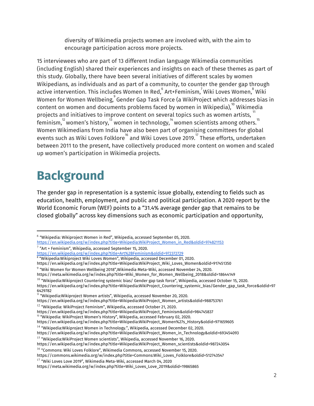diversity of Wikimedia projects women are involved with, with the aim to encourage participation across more projects.

15 interviewees who are part of 13 different Indian language Wikimedia communities (including English) shared their experiences and insights on each of these themes as part of this study. Globally, there have been several initiatives of different scales by women Wikipedians, as individuals and as part of a community, to counter the gender gap through active intervention. This includes Women In Red, ${\degree}$  Art+Feminism, ${\degree}$  Wiki Loves Women, ${\degree}$  Wiki Women for Women Wellbeing, $\degree$ Gender Gap Task Force (a WikiProject which addresses bias in content on women and documents problems faced by women in Wikipedia), $^{\rm 10}$  Wikimedia projects and initiatives to improve content on several topics such as women artists,  $^{\mathsf{11}}$ feminism, $^{\textrm{12}}$  women's history, $^{\textrm{13}}$  women in technology, $^{\textrm{14}}$  women scientists among others. $^{\textrm{15}}$ Women Wikimedians from India have also been part of organising committees for global events such as Wiki Loves Folklore $^{\rm 16}$  and Wiki Loves Love 2019. $^{\rm 7}$  These efforts, undertaken between 2011 to the present, have collectively produced more content on women and scaled up women's participation in Wikimedia projects.

# **Background**

The gender gap in representation is a systemic issue globally, extending to fields such as education, health, employment, and public and political participation. A 2020 report by the World Economic Forum (WEF) points to a "31.4% average gender gap that remains to be closed globally" across key dimensions such as economic participation and opportunity,

 $^{10}$  "Wikipedia:Wikiproject Countering systemic bias/ Gender gap task force", Wikipedia, accessed October 15, 2020. https://en.wikipedia.org/w/index.php?title=Wikipedia:WikiProject\_Countering\_systemic\_bias/Gender\_gap\_task\_force&oldid=97

 $^6$  "Wikipedia: Wikiproject Women in Red", Wikipedia, accessed September 05, 2020.

[https://en.wikipedia.org/w/index.php?title=Wikipedia:WikiProject\\_Women\\_in\\_Red&oldid=974821153](https://en.wikipedia.org/w/index.php?title=Wikipedia:WikiProject_Women_in_Red&oldid=974821153)  $7$  "Art + Feminism", Wikipedia, accessed September 15, 2020.

<https://en.wikipedia.org/w/index.php?title=Art%2BFeminism&oldid=972372729> 8 "Wikipedia:Wikiproject Wiki Loves Women", Wikipedia, accessed December 01, 2020.

https://en.wikipedia.org/w/index.php?title=Wikipedia:WikiProject\_Wiki\_Loves\_Women&oldid=917451350

 $^9$  "Wiki Women for Women Wellbeing 2018",Wikimedia Meta-Wiki, accessed November 24, 2020.

https://meta.wikimedia.org/w/index.php?title=Wiki\_Women\_for\_Women\_Wellbeing\_2018&oldid=18644149

<sup>6429782</sup> 11 "Wikipedia:Wikiproject Women artists", Wikipedia, accessed November 20, 2020.

https://en.wikipedia.org/w/index.php?title=Wikipedia:WikiProject\_Women\_artists&oldid=988753761

 $^{12}$  "Wikipedia: WikiProject Feminism", Wikipedia, accessed October 21, 2020.

https://en.wikipedia.org/w/index.php?title=Wikipedia:WikiProject\_Feminism&oldid=984745837

<sup>&</sup>lt;sup>13</sup> "Wikipedia: WikiProject Women's History", Wikipedia, accessed February 02, 2020.

https://en.wikipedia.org/w/index.php?title=Wikipedia:WikiProject\_Women%27s\_History&oldid=971659605  $^{14}$  "Wikipedia:Wikiproject Women in Technology.", Wikipedia, accessed December 02, 2020.

https://en.wikipedia.org/w/index.php?title=Wikipedia:WikiProject\_Women\_in\_Technology&oldid=693454093

<sup>&</sup>lt;sup>15</sup> "Wikipedia:WikiProject Women scientists", Wikipedia, accessed November 16, 2020.

https://en.wikipedia.org/w/index.php?title=Wikipedia:WikiProject\_Women\_scientists&oldid=987243054

 $^{16}$  "Commons: Wiki Loves Folklore", Wikimedia Commons, accessed November 15, 2020.

https://commons.wikimedia.org/w/index.php?title=Commons:Wiki\_Loves\_Folklore&oldid=512743547

 $^{17}$  "Wiki Loves Love 2019", Wikimedia Meta-Wiki, accessed March 04, 2020

https://meta.wikimedia.org/w/index.php?title=Wiki\_Loves\_Love\_2019&oldid=19865865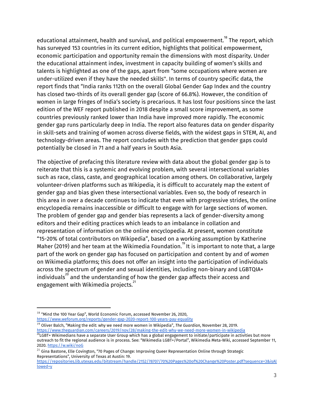educational attainment, health and survival, and political empowerment. $^{\textrm{\tiny{18}}}$  The report, which has surveyed 153 countries in its current edition, highlights that political empowerment, economic participation and opportunity remain the dimensions with most disparity. Under the educational attainment index, investment in capacity building of women's skills and talents is highlighted as one of the gaps, apart from "some occupations where women are under-utilized even if they have the needed skills''. In terms of country specific data, the report finds that "India ranks 112th on the overall Global Gender Gap Index and the country has closed two-thirds of its overall gender gap (score of 66.8%). However, the condition of women in large fringes of India's society is precarious. It has lost four positions since the last edition of the WEF report published in 2018 despite a small score improvement, as some countries previously ranked lower than India have improved more rapidly. The economic gender gap runs particularly deep in India. The report also features data on gender disparity in skill-sets and training of women across diverse fields, with the widest gaps in STEM, AI, and technology-driven areas. The report concludes with the prediction that gender gaps could potentially be closed in 71 and a half years in South Asia.

The objective of prefacing this literature review with data about the global gender gap is to reiterate that this is a systemic and evolving problem, with several intersectional variables such as race, class, caste, and geographical location among others. On collaborative, largely volunteer-driven platforms such as Wikipedia, it is difficult to accurately map the extent of gender gap and bias given these intersectional variables. Even so, the body of research in this area in over a decade continues to indicate that even with progressive strides, the online encyclopedia remains inaccessible or difficult to engage with for large sections of women. The problem of gender gap and gender bias represents a lack of gender-diversity among editors and their editing practices which leads to an imbalance in collation and representation of information on the online encyclopedia. At present, women constitute "15-20% of total contributors on Wikipedia", based on a working assumption by Katherine Maher (2019) and her team at the Wikimedia Foundation. $^{\textrm{19}}$  It is important to note that, a large part of the work on gender gap has focused on participation and content by and of *women* on Wikimedia platforms; this does not offer an insight into the participation of individuals across the spectrum of gender and sexual identities, including non-binary and LGBTQIA+ individuals $^{20}$  and the understanding of how the gender gap affects their access and engagement with Wikimedia projects.<sup>21</sup>

 $^{18}$  "Mind the 100 Year Gap", World Economic Forum, accessed November 26, 2020, <https://www.weforum.org/reports/gender-gap-2020-report-100-years-pay-equality>

<sup>19</sup> Oliver Balch, "Making the edit: why we need more women in Wikipedia", *The Guardian*, November 28, 2019. <https://www.theguardian.com/careers/2019/nov/28/making-the-edit-why-we-need-more-women-in-wikipedia>

 $^{20}$ LGBT+ Wikimedians have a separate User Group which has a global engagement to initiate/participate in activities but more outreach to fit the regional audience is in process. See: "Wikimedia LGBT+/Portal", Wikimedia Meta-Wiki, accessed September 11, 2020. <https://w.wiki/noG>

 $^{21}$  Gina Bastone, Elle Covington, "70 Pages of Change: Improving Queer Representation Online through Strategic Representations", University of Texas at Austin: 19.

[https://repositories.lib.utexas.edu/bitstream/handle/2152/78707/70%20Pages%20of%20Change%20Poster.pdf?sequence=3&isAl](https://repositories.lib.utexas.edu/bitstream/handle/2152/78707/70%20Pages%20of%20Change%20Poster.pdf?sequence=3&isAllowed=y) [lowed=y](https://repositories.lib.utexas.edu/bitstream/handle/2152/78707/70%20Pages%20of%20Change%20Poster.pdf?sequence=3&isAllowed=y)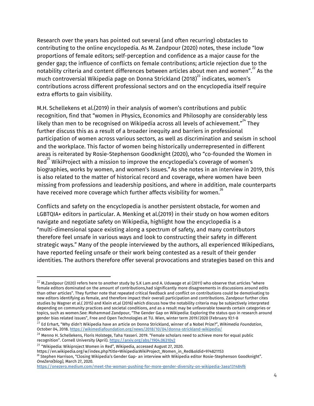Research over the years has pointed out several (and often recurring) obstacles to contributing to the online encyclopedia. As M. Zandpour (2020) notes, these include "low proportions of female editors; self-perception and confidence as a major cause for the gender gap; the influence of conflicts on female contributions; article rejection due to the notability criteria and content differences between articles about men and women". $^{22}$  As the much controversial Wikipedia page on Donna Strickland (2018) $^{\text{23}}$  indicates, women's contributions across different professional sectors and on the encyclopedia itself require extra efforts to gain visibility.

M.H. Schellekens et al.(2019) in their analysis of women's contributions and public recognition, find that "women in Physics, Economics and Philosophy are considerably less likely than men to be recognised on Wikipedia across all levels of achievement." $^{24}$  They further discuss this as a result of a broader inequity and barriers in professional participation of women across various sectors, as well as discrimination and sexism in school and the workplace. This factor of women being historically underrepresented in different areas is reiterated by Rosie-Stephenson Goodknight (2020), who "co-founded the Women in Red $^{25}$  WikiProject with a mission to improve the encyclopedia's coverage of women's biographies, works by women, and women's issues." As she notes in an interview in 2019, this is also related to the matter of historical record and coverage, where women have been missing from professions and leadership positions, and where in addition, male counterparts have received more coverage which further affects visibility for women. $^{26}$ 

Conflicts and safety on the encyclopedia is another persistent obstacle, for women and LGBTQIA+ editors in particular. A. Menking et al.(2019) in their study on how women editors navigate and negotiate safety on Wikipedia, highlight how the encyclopedia is a "multi-dimensional space existing along a spectrum of safety, and many contributors therefore feel unsafe in various ways and look to constructing their safety in different strategic ways." Many of the people interviewed by the authors, all experienced Wikipedians, have reported feeling unsafe or their work being contested as a result of their gender identities. The authors therefore offer several provocations and strategies based on this and

<sup>26</sup> Stephen Harrison, "Closing Wikipedia's Gender Gap- an interview with Wikipedia editor Rosie-Stephenson Goodknight". *OneZero(blog),* March 27, 2020.

 $^{22}$  M.Zandpour (2020) refers here to another study by S.K Lam and A. Uduwage et al (2011) who observe that articles "where female editors dominated on the amount of contributions,had significantly more disagreements in discussions around edits than other articles". They further note that repeated critical feedback and conflict on contributions could be demotivating to new editors identifying as female, and therefore impact their overall participation and contributions. Zandpour further cites studies by Wagner et al.( 2015) and Klein et.al (2016) which discuss how the notability criteria may be subjectively interpreted depending on community practices and societal conditions, and as a result may be unfavorable towards certain categories or topics, such as women.See: Mohammad Zandpour, "The Gender Gap on Wikipedia: Exploring the status quo in research around gender bias related issues", Free and Open Technologies at TU. Wien, winter term 2019/2020 (February 9):1-8

<sup>23</sup> Ed Erhart, "Why didn't Wikipedia have an article on Donna Strickland, winner of a Nobel Prize?", *Wikimedia Foundation*, October 04, 2018. <https://wikimediafoundation.org/news/2018/10/04/donna-strickland-wikipedia/>

 $24$  Menno H. Schellekens, Floris Holstege, Taha Yasseri. 2019. "Female scholars need to achieve more for equal public recognition". Cornell University (April). <https://arxiv.org/abs/1904.06310v2>

 $^{25}$  "Wikipedia: Wikiproject Women in Red", Wikipedia, accessed August 27, 2020.

https://en.wikipedia.org/w/index.php?title=Wikipedia:WikiProject\_Women\_in\_Red&oldid=974821153

<https://onezero.medium.com/meet-the-woman-pushing-for-more-gender-diversity-on-wikipedia-3aea131484f6>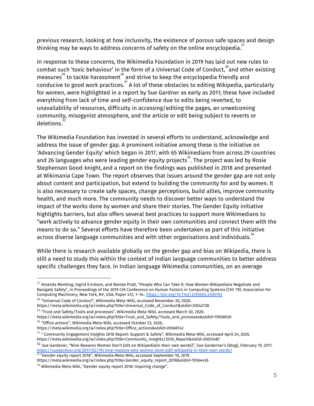previous research, looking at how inclusivity, the existence of porous safe spaces and design thinking may be ways to address concerns of safety on the online encyclopedia. $^{27}$ 

In response to these concerns, the Wikimedia Foundation in 2019 has laid out new rules to combat such 'toxic behaviour' in the form of a Universal Code of Conduct, $^{28}$ and other existing measures $^{29}$  to tackle harassment $^{30}$  and strive to keep the encyclopedia friendly and conducive to good work practices. $^{\text{31}}$  A lot of these obstacles to editing Wikipedia, particularly for women, were highlighted in a report by Sue Gardner as early as 2011; these have included everything from lack of time and self-confidence due to edits being reverted, to unavailability of resources, difficulty in accessing/editing the pages, an unwelcoming community, misogynist atmosphere, and the article or edit being subject to reverts or deletions. 32

The Wikimedia Foundation has invested in several efforts to understand, acknowledge and address the issue of gender gap. A prominent initiative among these is the initiative on 'Advancing Gender Equity' which began in 2017, with 65 Wikimedians from across 29 countries and 26 languages who were leading gender equity projects $^{\rm 33}$ . The project was led by Rosie Stephenson Good-knight, and a report on the findings was published in 2018 and presented at Wikimania Cape Town. The report observes that issues around the gender gap are not only about content and participation, but extend to building the community for and by women. It is also necessary to create safe spaces, change perceptions, build allies, improve community health, and much more. The community needs to discover better ways to understand the impact of the works done by women and share their stories. The Gender Equity initiative highlights barriers, but also offers several best practices to support more Wikimedians to "work actively to advance gender equity in their own communities and connect them with the means to do so." Several efforts have therefore been undertaken as part of this initiative across diverse language communities and with other organisations and individuals. $^{\rm 34}$ 

While there is research available globally on the gender gap and bias on Wikipedia, there is still a need to study this within the context of Indian language communities to better address specific challenges they face. In Indian language Wikimedia communities, on an average

<sup>32</sup> Sue Gardener, "Nine Reasons Women Don't Edit on Wikipedia(in their own words)", Sue Garderner's (blog), February 19, 2011. <https://suegardner.org/2011/02/19/nine-reasons-why-women-dont-edit-wikipedia-in-their-own-words/><br><sup>33</sup> "Gender equity report 2018", Wikimedia Meta-Wiki, accessed September 10, 2019.

https://meta.wikimedia.org/w/index.php?title=Gender\_equity\_report\_2018&oldid=19364436

 $^{27}$  Amanda Menking, Ingrid Erickson, and Wanda Pratt, "People Who Can Take It: How Women Wikipedians Negotiate and Navigate Safety", in Proceedings of the 2019 CHI Conference on Human Factors in Computing Systems (CHI '19). Association for Computing Machinery, New York, NY, USA, Paper 472, 1–14.. <https://doi.org/10.1145/3290605.3300702>

 $^{28}$  "Universal Code of Conduct", Wikimedia Meta-Wiki, accessed November 20, 2020.

https://meta.wikimedia.org/w/index.php?title=Universal\_Code\_of\_Conduct&oldid=20542738

 $^{\rm 29}$  "Trust and Safety/Tools and processes", Wikimedia Meta-Wiki, accessed March 30, 2020.

https://meta.wikimedia.org/w/index.php?title=Trust\_and\_Safety/Tools\_and\_processes&oldid=19938920  $^{\rm 30}$  "Office actions", Wikimedia Meta-Wiki, accessed October 23, 2020,

https://meta.wikimedia.org/w/index.php?title=Office\_actions&oldid=20568742

 $^{31}$  " Community Engagement Insights 2018 Report: Support & Safety", Wikimedia Meta-Wiki, accessed April 24, 2020.

https://meta.wikimedia.org/w/index.php?title=Community\_Insights/2018\_Report&oldid=20012487

 $34$  Wikimedia Meta-Wiki, "Gender equity report 2018: Inspiring change".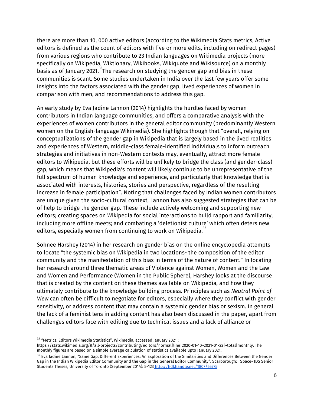there are more than 10, 000 active editors (according to the Wikimedia Stats metrics, Active editors is defined as the count of editors with five or more edits, including on redirect pages) from various regions who contribute to 23 Indian languages on Wikimedia projects (more specifically on Wikipedia, Wiktionary, Wikibooks, Wikiquote and Wikisource) on a monthly basis as of January 2021. $^{35}$ The research on studying the gender gap and bias in these communities is scant. Some studies undertaken in India over the last few years offer some insights into the factors associated with the gender gap, lived experiences of women in comparison with men, and recommendations to address this gap.

An early study by Eva Jadine Lannon (2014) highlights the hurdles faced by women contributors in Indian language communities, and offers a comparative analysis with the experiences of women contributors in the general editor community (predominantly Western women on the English-language Wikimedia). She highlights though that "overall, relying on conceptualizations of the gender gap in Wikipedia that is largely based in the lived realities and experiences of Western, middle-class female-identified individuals to inform outreach strategies and initiatives in non-Western contexts may, eventually, attract more female editors to Wikipedia, but these efforts will be unlikely to bridge the class (and gender-class) gap, which means that Wikipedia's content will likely continue to be unrepresentative of the full spectrum of human knowledge and experience, and particularly that knowledge that is associated with interests, histories, stories and perspective, regardless of the resulting increase in female participation". Noting that challenges faced by Indian women contributors are unique given the socio-cultural context, Lannon has also suggested strategies that can be of help to bridge the gender gap. These include actively welcoming and supporting new editors; creating spaces on Wikipedia for social interactions to build rapport and familiarity, including more offline meets; and combating a 'deletionist culture' which often deters new editors, especially women from continuing to work on Wikipedia. $^{\rm 36}$ 

Sohnee Harshey (2014) in her research on gender bias on the online encyclopedia attempts to locate "the systemic bias on Wikipedia in two locations- the composition of the editor community and the manifestation of this bias in terms of the nature of content." In locating her research around three thematic areas of Violence against Women, Women and the Law and Women and Performance (Women in the Public Sphere), Harshey looks at the discourse that is created by the content on these themes available on Wikipedia, and how they ultimately contribute to the knowledge building process. Principles such as *Neutral Point of View* can often be difficult to negotiate for editors, especially where they conflict with gender sensitivity, or address content that may contain a systemic gender bias or sexism. In general the lack of a feminist lens in adding content has also been discussed in the paper, apart from challenges editors face with editing due to technical issues and a lack of alliance or

 $^{\rm 35}$  "Metrics: Editors Wikimedia Statistics", Wikimedia, accessed January 2021 :

https://stats.wikimedia.org/#/all-projects/contributing/editors/normal|line|2020-01-10~2021-01-22|~total|monthly. The monthly figures are based on a simple average calculation of statistics available upto January 2021.

 $\rm{^{36}}$  Eva Jadine Lannon, "Same Gap, Different Experiences: An Exploration of the Similarities and Differences Between the Gender Gap in the Indian Wikipedia Editor Community and the Gap in the General Editor Community". Scarborough: TSpace- IDS Senior Students Theses, University of Toronto (September 2014): 5-123 <http://hdl.handle.net/1807/65775>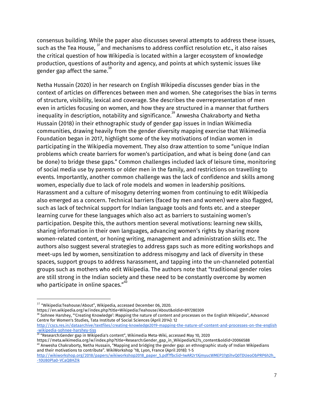consensus building. While the paper also discusses several attempts to address these issues, such as the Tea House,  $^{\text{37}}$  and mechanisms to address conflict resolution etc., it also raises the critical question of how Wikipedia is located within a larger ecosystem of knowledge production, questions of authority and agency, and points at which systemic issues like gender gap affect the same. $^{\rm 38}$ 

Netha Hussain (2020) in her research on English Wikipedia discusses gender bias in the context of articles on differences between men and women. She categorises the bias in terms of structure, visibility, lexical and coverage. She describes the overrepresentation of men even in articles focusing on women, and how they are structured in a manner that furthers inequality in description, notability and significance. $^{\rm 39}$  Anwesha Chakraborty and Netha Hussain (2018) in their ethnographic study of gender gap issues in Indian Wikimedia communities, drawing heavily from the gender diversity mapping exercise that Wikimedia Foundation began in 2017, highlight some of the key motivations of Indian women in participating in the Wikipedia movement. They also draw attention to some "unique Indian problems which create barriers for women's participation, and what is being done (and can be done) to bridge these gaps." Common challenges included lack of leisure time, monitoring of social media use by parents or older men in the family, and restrictions on travelling to events. Importantly, another common challenge was the lack of confidence and skills among women, especially due to lack of role models and women in leadership positions. Harassment and a culture of misogyny deterring women from continuing to edit Wikipedia also emerged as a concern. Technical barriers (faced by men and women) were also flagged, such as lack of technical support for Indian language tools and fonts etc. and a steeper learning curve for these languages which also act as barriers to sustaining women's participation. Despite this, the authors mention several motivations: learning new skills, sharing information in their own languages, advancing women's rights by sharing more women-related content, or honing writing, management and administration skills etc. The authors also suggest several strategies to address gaps such as more editing workshops and meet-ups led by women, sensitization to address misogyny and lack of diversity in these spaces, support groups to address harassment, and tapping into the un-channeled potential groups such as mothers who edit Wikipedia. The authors note that "traditional gender roles are still strong in the Indian society and these need to be constantly overcome by women who participate in online spaces." $^{\rm 40}$ 

https://en.wikipedia.org/w/index.php?title=Wikipedia:Teahouse/About&oldid=897280309

<sup>38</sup> Sohnee Harshey, "'Creating Knowledge': Mapping the nature of content and processes on the English Wikipedia", Advanced Centre for Women's Studies, Tata Institute of Social Sciences (April 2014): 12

[http://cscs.res.in/dataarchive/textfiles/creating-knowledge2019-mapping-the-nature-of-content-and-processes-on-the-english](http://cscs.res.in/dataarchive/textfiles/creating-knowledge2019-mapping-the-nature-of-content-and-processes-on-the-english-wikipedia-sohnee-harshey-tiss) -<u>wikipedia-sohnee-harshey-tiss</u><br><sup>39</sup> "Research:Gender gap in Wikipedia's content", Wikimedia Meta-Wiki, accessed May 10, 2020

https://meta.wikimedia.org/w/index.php?title=Research:Gender\_gap\_in\_Wikipedia%27s\_content&oldid=20066588

 $^{40}$  Anwesha Chakraborty, Netha Hussain, "Mapping and bridging the gender gap: an ethnographic study of Indian Wikipedians and their motivations to contribute". WikiWorkshop '18, Lyon, France (April 2018): 1-5

 $37$  "Wikipedia:Teahouse/About", Wikipedia, accessed December 06, 2020.

[http://wikiworkshop.org/2018/papers/wikiworkshop2018\\_paper\\_5.pdf?fbclid=IwAR2r1XjmyucWMEP37gtihvQ0TDUeoObPRP6h2h\\_](http://wikiworkshop.org/2018/papers/wikiworkshop2018_paper_5.pdf?fbclid=IwAR2r1XjmyucWMEP37gtihvQ0TDUeoObPRP6h2h_-10U80Pla0-VCaQ8HZIk) [-10U80Pla0-VCaQ8HZIk](http://wikiworkshop.org/2018/papers/wikiworkshop2018_paper_5.pdf?fbclid=IwAR2r1XjmyucWMEP37gtihvQ0TDUeoObPRP6h2h_-10U80Pla0-VCaQ8HZIk)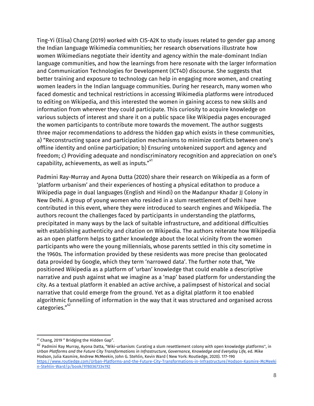Ting-Yi (Elisa) Chang (2019) worked with CIS-A2K to study issues related to gender gap among the Indian language Wikimedia communities; her research observations illustrate how women Wikimedians negotiate their identity and agency within the male-dominant Indian language communities, and how the learnings from here resonate with the larger Information and Communication Technologies for Development (ICT4D) discourse. She suggests that better training and exposure to technology can help in engaging more women, and creating women leaders in the Indian language communities. During her research, many women who faced domestic and technical restrictions in accessing Wikimedia platforms were introduced to editing on Wikipedia, and this interested the women in gaining access to new skills and information from wherever they could participate. This curiosity to acquire knowledge on various subjects of interest and share it on a public space like Wikipedia pages encouraged the women participants to contribute more towards the movement. The author suggests three major recommendations to address the hidden gap which exists in these communities, a) "Reconstructing space and participation mechanisms to minimize conflicts between one's offline identity and online participation; b) Ensuring untokenized support and agency and freedom; c) Providing adequate and nondiscriminatory recognition and appreciation on one's capability, achievements, as well as inputs." $^{\ast 1}$ 

Padmini Ray-Murray and Ayona Dutta (2020) share their research on Wikipedia as a form of 'platform urbanism' and their experiences of hosting a physical editathon to produce a Wikipedia page in dual languages (English and Hindi) on the Madanpur Khadar JJ Colony in New Delhi. A group of young women who resided in a slum resettlement of Delhi have contributed in this event, where they were introduced to search engines and Wikipedia. The authors recount the challenges faced by participants in understanding the platforms, precipitated in many ways by the lack of suitable infrastructure, and additional difficulties with establishing authenticity and citation on Wikipedia. The authors reiterate how Wikipedia as an open platform helps to gather knowledge about the local vicinity from the women participants who were the young millennials, whose parents settled in this city sometime in the 1960s. The information provided by these residents was more precise than geolocated data provided by Google, which they term 'narrowed data'. The further note that, "We positioned Wikipedia as a platform of 'urban' knowledge that could enable a descriptive narrative and push against what we imagine as a 'map' based platform for understanding the city. As a textual platform it enabled an active archive, a palimpsest of historical and social narrative that could emerge from the ground. Yet as a digital platform it too enabled algorithmic funnelling of information in the way that it was structured and organised across categories." 42

<sup>41</sup> Chang, 2019 " Bridging the Hidden Gap".

<sup>&</sup>lt;sup>42</sup> Padmini Ray Murray, Ayona Datta, "Wiki-urbanism: Curating a slum resettlement colony with open knowledge platforms", in *Urban Platforms and the Future City Transformations in Infrastructure, Governance, Knowledge and Everyday Life,* ed. [Mike](https://www.routledge.com/search?author=Mike%20Hodson) [Hodson,](https://www.routledge.com/search?author=Mike%20Hodson) Julia [Kasmire,](https://www.routledge.com/search?author=Julia%20Kasmire) Andrew [McMeekin](https://www.routledge.com/search?author=Andrew%20McMeekin), John G. [Stehlin](https://www.routledge.com/search?author=John%20G.%20Stehlin), [Kevin](https://www.routledge.com/search?author=Kevin%20Ward) Ward ( New York: Routledge, 2020). 177-190 [https://www.routledge.com/Urban-Platforms-and-the-Future-City-Transformations-in-Infrastructure/Hodson-Kasmire-McMeeki](https://www.routledge.com/Urban-Platforms-and-the-Future-City-Transformations-in-Infrastructure/Hodson-Kasmire-McMeekin-Stehlin-Ward/p/book/9780367334192) [n-Stehlin-Ward/p/book/9780367334192](https://www.routledge.com/Urban-Platforms-and-the-Future-City-Transformations-in-Infrastructure/Hodson-Kasmire-McMeekin-Stehlin-Ward/p/book/9780367334192)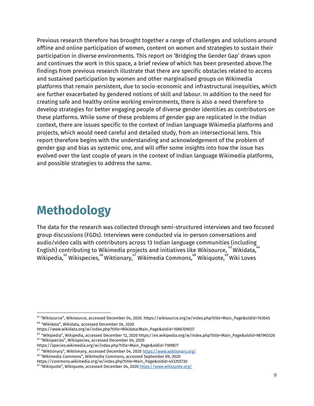Previous research therefore has brought together a range of challenges and solutions around offline and online participation of women, content on women and strategies to sustain their participation in diverse environments. This report on 'Bridging the Gender Gap' draws upon and continues the work in this space, a brief review of which has been presented above.The findings from previous research illustrate that there are specific obstacles related to access and sustained participation by women and other marginalised groups on Wikimedia platforms that remain persistent, due to socio-economic and infrastructural inequities, which are further exacerbated by gendered notions of skill and labour. In addition to the need for creating safe and healthy online working environments, there is also a need therefore to develop strategies for better engaging people of diverse gender identities as contributors on these platforms. While some of these problems of gender gap are replicated in the Indian context, there are issues specific to the context of Indian language Wikimedia platforms and projects, which would need careful and detailed study, from an intersectional lens. This report therefore begins with the understanding and acknowledgement of the problem of gender gap and bias as systemic one, and will offer some insights into how the issue has evolved over the last couple of years in the context of Indian language Wikimedia platforms, and possible strategies to address the same.

## **Methodology**

The data for the research was collected through semi-structured interviews and two focused group discussions (FGDs). Interviews were conducted via in-person conversations and audio/video calls with contributors across 13 Indian language communities (including $\frac{1}{44}$ English) contributing to Wikimedia projects and initiatives like Wikisource,  $^{43}$  Wikidata,  $^{44}$ Wikipedia, $^{45}$  Wikispecies, $^{46}$  Wiktionary, $^{47}$  Wikimedia Commons, $^{48}$  Wikiquote, $^{49}$  Wiki Loves

https://species.wikimedia.org/w/index.php?title=Main\_Page&oldid=7189877

<sup>43</sup> "Wikisource", Wikisource, accessed December 04, 2020. https://wikisource.org/w/index.php?title=Main\_Page&oldid=763045 44 "Wikidata", Wikidata, accessed December 04, 2020

https://www.wikidata.org/w/index.php?title=Wikidata:Main\_Page&oldid=1086709037

<sup>&</sup>lt;sup>45</sup> "Wikipedia", Wikipedia, accessed December 12, 2020 https://en.wikipedia.org/w/index.php?title=Main\_Page&oldid=987965326 46 "Wikispecies", Wikispecies, accessed December 04, 2020

<sup>&</sup>lt;sup>47</sup> "Wiktionary", Wiktionary, accessed December 04, 2020 <u><https://www.wiktionary.org/></u>

<sup>48</sup> "Wikimedia Commons", Wikimedia Commons, accessed September 09, 2020

https://commons.wikimedia.org/w/index.php?title=Main\_Page&oldid=453255730

<sup>&</sup>lt;sup>49</sup> "Wikiquote", Wikiquote, accessed December 04, 2020 <u><https://www.wikiquote.org/></u>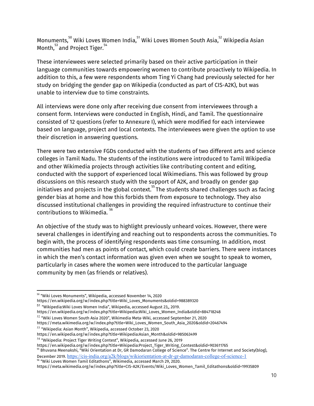Monuments, $^{\text{50}}$  Wiki Loves Women India, $^{\text{51}}$  Wiki Loves Women South Asia, $^{\text{52}}$  Wikipedia Asian Month, $\overset{53}{\ }$  and Project Tiger. $\overset{54}{\ }$ 

These interviewees were selected primarily based on their active participation in their language communities towards empowering women to contribute proactively to Wikipedia. In addition to this, a few were respondents whom Ting Yi Chang had previously selected for her study on bridging the gender gap on Wikipedia (conducted as part of CIS-A2K), but was unable to interview due to time constraints.

All interviews were done only after receiving due consent from interviewees through a consent form. Interviews were conducted in English, Hindi, and Tamil. The questionnaire consisted of 12 questions (refer to Annexure I), which were modified for each interviewee based on language, project and local contexts. The interviewees were given the option to use their discretion in answering questions.

There were two extensive FGDs conducted with the students of two different arts and science colleges in Tamil Nadu. The students of the institutions were introduced to Tamil Wikipedia and other Wikimedia projects through activities like contributing content and editing, conducted with the support of experienced local Wikimedians. This was followed by group discussions on this research study with the support of A2K, and broadly on gender gap initiatives and projects in the global context. $^{\rm 55}$ The students shared challenges such as facing gender bias at home and how this forbids them from exposure to technology. They also discussed institutional challenges in providing the required infrastructure to continue their contributions to Wikimedia. 56

An objective of the study was to highlight previously unheard voices. However, there were several challenges in identifying and reaching out to respondents across the communities. To begin with, the process of identifying respondents was time consuming. In addition, most communities had men as points of contact, which could create barriers. There were instances in which the men's contact information was given even when we sought to speak to women, particularly in cases where the women were introduced to the particular language community by men (as friends or relatives).

https://en.wikipedia.org/w/index.php?title=Wiki\_Loves\_Monuments&oldid=988389320

<sup>51</sup> "Wikipedia:Wiki Loves Women India", Wikipedia, accessed August 23,, 2019.

https://en.wikipedia.org/w/index.php?title=Wikipedia:Wiki\_Loves\_Women\_India&oldid=884718248

 $^{52}$  "Wiki Loves Women South Asia 2020", Wikimedia Meta-Wiki, accessed September 21, 2020

 $^{53}$  "Wikipedia: Asian Month", Wikipedia, accessed October 23, 2020

<sup>50</sup> "Wiki Loves Monuments", Wikipedia, accessed November 14, 2020

https://meta.wikimedia.org/w/index.php?title=Wiki\_Loves\_Women\_South\_Asia\_2020&oldid=20467494

https://en.wikipedia.org/w/index.php?title=Wikipedia:Asian\_Month&oldid=985063499

<sup>&</sup>lt;sup>54</sup> "Wikipedia: Project Tiger Writing Contest", Wikipedia, accessed June 26, 2019

https://en.wikipedia.org/w/index.php?title=Wikipedia:Project\_Tiger\_Writing\_Contest&oldid=903611765

<sup>&</sup>lt;sup>55</sup> Bhuvana Meenakshi, "Wiki Orientation at Dr, GR Damodaran College of Science". The Centre for Internet and Society(blog), December 2019. <https://cis-india.org/a2k/blogs/wikiorientation-at-dr-gr-damodaran-college-of-science-1> 56 "Wiki Loves Women Tamil Editathons", Wikimedia, accessed March 29, 2020.

https://meta.wikimedia.org/w/index.php?title=CIS-A2K/Events/Wiki\_Loves\_Women\_Tamil\_Editathons&oldid=19935809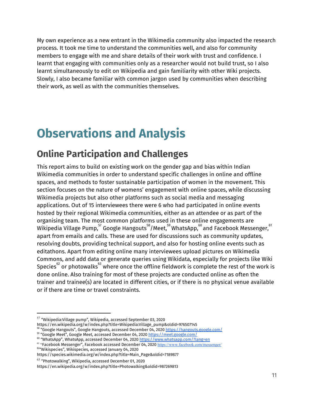My own experience as a new entrant in the Wikimedia community also impacted the research process. It took me time to understand the communities well, and also for community members to engage with me and share details of their work with trust and confidence. I learnt that engaging with communities only as a researcher would not build trust, so I also learnt simultaneously to edit on Wikipedia and gain familiarity with other Wiki projects. Slowly, I also became familiar with common jargon used by communities when describing their work, as well as with the communities themselves.

# **Observations and Analysis**

## **Online Participation and Challenges**

This report aims to build on existing work on the gender gap and bias within Indian Wikimedia communities in order to understand specific challenges in online and offline spaces, and methods to foster sustainable participation of women in the movement. This section focuses on the nature of womens' engagement with online spaces, while discussing Wikimedia projects but also other platforms such as social media and messaging applications. Out of 15 interviewees there were 6 who had participated in online events hosted by their regional Wikimedia communities, either as an attendee or as part of the organising team. The most common platforms used in these online engagements are Wikipedia Village Pump, $^{57}$  Google Hangouts $^{58}$ /Meet, $^{59}$ WhatsApp, $^{60}$  and Facebook Messenger, $^{61}$ apart from emails and calls. These are used for discussions such as community updates, resolving doubts, providing technical support, and also for hosting online events such as editathons. Apart from editing online many interviewees upload pictures on Wikimedia Commons, and add data or generate queries using Wikidata, especially for projects like Wiki Species $^{\mathrm{62}}$  or photowalks $^{\mathrm{63}}$  where once the offline fieldwork is complete the rest of the work is done online. Also training for most of these projects are conducted online as often the trainer and trainee(s) are located in different cities, or if there is no physical venue available or if there are time or travel constraints.

https://en.wikipedia.org/w/index.php?title=Wikipedia:Village\_pump&oldid=976507145

 $^{63}$  "Photowalking", Wikipedia, accessed December 01, 2020

 $57$  "Wikipedia:Village pump", Wikipedia, accessed September 03, 2020

<sup>&</sup>lt;sup>58</sup> "Google Hangouts", Google Hangouts, accessed December 04, 2020 <u><https://hangouts.google.com/></u>

<sup>&</sup>lt;sup>59</sup> "Google Meet", Google Meet, accessed December 04, 2020 <u><https://meet.google.com/></u>

<sup>&</sup>lt;sup>60</sup> "WhatsApp", WhatsApp, accessed December 04, 2020 <u><https://www.whatsapp.com/?lang=en></u> <sup>61</sup> "Facebook Messenger", Facebook accessed December 04, 2020 <https://www.facebook.com/messenger/>

<sup>62</sup> "Wikispecies", Wikispecies, accessed January 04, 2020

https://species.wikimedia.org/w/index.php?title=Main\_Page&oldid=7189877

https://en.wikipedia.org/w/index.php?title=Photowalking&oldid=987269813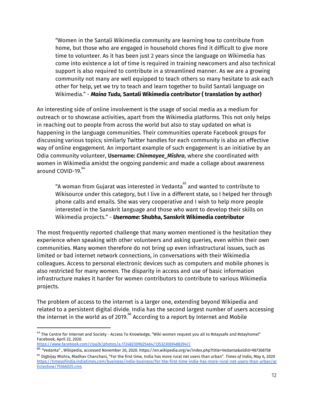"Women in the Santali Wikimedia community are learning how to contribute from home, but those who are engaged in household chores find it difficult to give more time to volunteer. As it has been just 2 years since the language on Wikimedia has come into existence a lot of time is required in training newcomers and also technical support is also required to contribute in a streamlined manner. As we are a growing community not many are well equipped to teach others so many hesitate to ask each other for help, yet we try to teach and learn together to build Santali language on Wikimedia." - *Maina Tudu,* **Santali Wikimedia contributor ( translation by author)**

An interesting side of online involvement is the usage of social media as a medium for outreach or to showcase activities, apart from the Wikimedia platforms. This not only helps in reaching out to people from across the world but also to stay updated on what is happening in the language communities. Their communities operate Facebook groups for discussing various topics; similarly Twitter handles for each community is also an effective way of online engagement. An important example of such engagement is an initiative by an Odia community volunteer, **Username:** *Chinmayee\_Mishra*, where she coordinated with women in Wikimedia amidst the ongoing pandemic and made a collage about awareness around COVID-19. 64

"A woman from Gujarat was interested in Vedanta $\degree$  and wanted to contribute to Wikisource under this category, but I live in a different state, so I helped her through phone calls and emails. She was very cooperative and I wish to help more people interested in the Sanskrit language and those who want to develop their skills on Wikimedia projects." - *Username:* **Shubha, Sanskrit Wikimedia contributor**

The most frequently reported challenge that many women mentioned is the hesitation they experience when speaking with other volunteers and asking queries, even within their own communities. Many women therefore do not bring up even infrastructural issues, such as limited or bad internet network connections, in conversations with their Wikimedia colleagues. Access to personal electronic devices such as computers and mobile phones is also restricted for many women. The disparity in access and use of basic information infrastructure makes it harder for women contributors to contribute to various Wikimedia projects.

The problem of access to the internet is a larger one, extending beyond Wikipedia and related to a persistent digital divide. India has the second largest number of users accessing the internet in the world as of 2019. $^{\rm 65}$  According to a report by Internet and Mobile

 $64$  The Centre for Internet and Society - Access To [Knowledge](https://www.facebook.com/cisa2k/?__tn__=-UC*F), "Wiki women request you all to [#staysafe](https://www.facebook.com/hashtag/staysafe?__eep__=6&__tn__=*NK*F) and [#stayhome](https://www.facebook.com/hashtag/stayhome?__eep__=6&__tn__=*NK*F)!" Facebook, April 22, 2020.

<https://www.facebook.com/cisa2k/photos/a.172482309625464/1353230694883947/>

<sup>&</sup>lt;sup>65</sup> "Vedanta" , Wikipedia, accessed November 20, 2020. https://en.wikipedia.org/w/index.php?title=Vedanta&oldid=987368758 <sup>66</sup> Digbijay Mishra, Madhav Chanchani, "For the first time, India has more rural net users than urban". *Times of India*, May 6, 2020 [https://timesofindia.indiatimes.com/business/india-business/for-the-first-time-india-has-more-rural-net-users-than-urban/ar](https://timesofindia.indiatimes.com/business/india-business/for-the-first-time-india-has-more-rural-net-users-than-urban/articleshow/75566025.cms) [ticleshow/75566025.cms](https://timesofindia.indiatimes.com/business/india-business/for-the-first-time-india-has-more-rural-net-users-than-urban/articleshow/75566025.cms)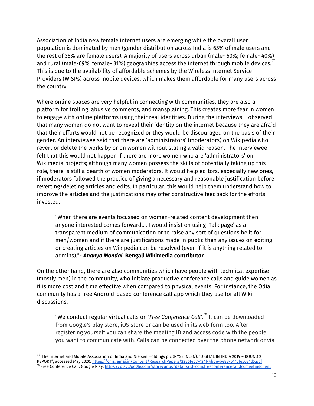Association of India new female internet users are emerging while the overall user population is dominated by men (gender distribution across India is 65% of male users and the rest of 35% are female users). A majority of users across urban (male- 60%; female- 40%) and rural (male-69%; female- 31%) geographies access the internet through mobile devices.  $\overset{\scriptscriptstyle67}{\scriptscriptstyle1}$ This is due to the availability of affordable schemes by the Wireless Internet Service Providers (WISPs) across mobile devices, which makes them affordable for many users across the country.

Where online spaces are very helpful in connecting with communities, they are also a platform for trolling, abusive comments, and mansplaining. This creates more fear in women to engage with online platforms using their real identities. During the interviews, I observed that many women do not want to reveal their identity on the internet because they are afraid that their efforts would not be recognized or they would be discouraged on the basis of their gender. An interviewee said that there are 'administrators' (moderators) on Wikipedia who revert or delete the works by or on women without stating a valid reason. The interviewee felt that this would not happen if there are more women who are 'administrators' on Wikimedia projects; although many women possess the skills of potentially taking up this role, there is still a dearth of women moderators. It would help editors, especially new ones, if moderators followed the practice of giving a necessary and reasonable justification before reverting/deleting articles and edits. In particular, this would help them understand how to improve the articles and the justifications may offer constructive feedback for the efforts invested.

"When there are events focussed on women-related content development then anyone interested comes forward…. I would insist on using 'Talk page' as a transparent medium of communication or to raise any sort of questions be it for men/women and if there are justifications made in public then any issues on editing or creating articles on Wikipedia can be resolved (even if it is anything related to admins)."- *Ananya Mondal,* **Bengali Wikimedia contributor**

On the other hand, there are also communities which have people with technical expertise (mostly men) in the community, who initiate productive conference calls and guide women as it is more cost and time effective when compared to physical events. For instance, the Odia community has a free Android-based conference call app which they use for all Wiki discussions.

"We conduct regular virtual calls on 'Free Conference Call'.<sup>68</sup> It can be downloaded from Google's play store, iOS store or can be used in its web form too. After registering yourself you can share the meeting ID and access code with the people you want to communicate with. Calls can be connected over the phone network or via

<sup>&</sup>lt;sup>67</sup> The Internet and Mobile Association of India and Nielsen Holdings plc (NYSE: NLSN), "DIGITAL IN INDIA 2019 - ROUND 2 REPORT", accessed May 2020. <https://cms.iamai.in/Content/ResearchPapers/2286f4d7-424f-4bde-be88-6415fe5021d5.pdf> <sup>68</sup> Free Conference Call. Google Play. <https://play.google.com/store/apps/details?id=com.freeconferencecall.fccmeetingclient>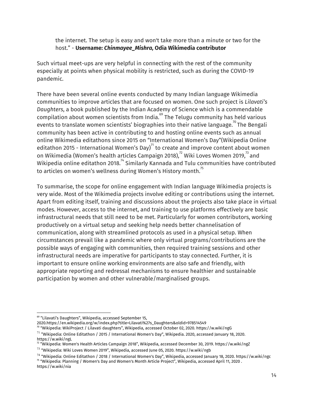the internet. The setup is easy and won't take more than a minute or two for the host." - **Username:** *Chinmayee\_Mishra,* **Odia Wikimedia contributor**

Such virtual meet-ups are very helpful in connecting with the rest of the community especially at points when physical mobility is restricted, such as during the COVID-19 pandemic.

There have been several online events conducted by many Indian language Wikimedia communities to improve articles that are focused on women. One such project is *Lilavati's Daughters*, a book published by the Indian Academy of Science which is a commendable compilation about women scientists from India. $^\mathrm{69}$  The Telugu community has held various events to translate women scientists' biographies into their native language. $^{70}$  The Bengali community has been active in contributing to and hosting online events such as annual online Wikimedia editathons since 2015 on "International Women's Day"(Wikipedia Online editathon 2015 - International Women's Day) $^{71}$  to create and improve content about women on Wikimedia (Women's health articles Campaign 2018), $^{\prime2}$  Wiki Loves Women 2019, $^{\prime3}$  and Wikipedia online editathon 2018. $^{74}$  Similarly Kannada and Tulu communities have contributed to articles on women's wellness during Women's History month. $^{^{75}}$ 

To summarise, the scope for online engagement with Indian language Wikimedia projects is very wide. Most of the Wikimedia projects involve editing or contributions using the internet. Apart from editing itself, training and discussions about the projects also take place in virtual modes. However, access to the internet, and training to use platforms effectively are basic infrastructural needs that still need to be met. Particularly for women contributors, working productively on a virtual setup and seeking help needs better channelisation of communication, along with streamlined protocols as used in a physical setup. When circumstances prevail like a pandemic where only virtual programs/contributions are the possible ways of engaging with communities, then required training sessions and other infrastructural needs are imperative for participants to stay connected. Further, it is important to ensure online working environments are also safe and friendly, with appropriate reporting and redressal mechanisms to ensure healthier and sustainable participation by women and other vulnerable/marginalised groups.

70 "Wikipedia: WikiProject / Lilavati daughters", Wikipedia, accessed October 02, 2020. https://w.wiki/ngG

<sup>69</sup> "Lilavati's Daughters", Wikipedia, accessed September 15,

<sup>2020.</sup>https://en.wikipedia.org/w/index.php?title=Lilavati%27s\_Daughters&oldid=978514549

<sup>&</sup>lt;sup>71</sup> "Wikipedia: Online Editathon / 2015 / International Women's Day", Wikipedia. 2020, accessed January 18, 2020. https://w.wiki/ngL

<sup>&</sup>lt;sup>72</sup> "Wikipedia: Women's Health Articles Campaign 2018", Wikipedia, accessed December 30, 2019. https://w.wiki/ngZ

<sup>&</sup>lt;sup>73</sup> "Wikipedia: Wiki Loves Women 2019", Wikipedia, accessed June 05, 2020. https://w.wiki/ngb

<sup>&</sup>lt;sup>74</sup> "Wikipedia: Online Editathon / 2018 / International Women's Day", Wikipedia, accessed January 18, 2020. https://w.wiki/ngc

<sup>&</sup>lt;sup>75</sup> "Wikipedia: Planning / Women's Day and Women's Month Article Project", Wikipedia, accessed April 11, 2020 . https://w.wiki/nia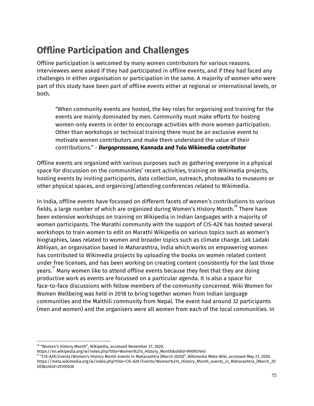## **Offline Participation and Challenges**

Offline participation is welcomed by many women contributors for various reasons. Interviewees were asked if they had participated in offline events, and if they had faced any challenges in either organisation or participation in the same. A majority of women who were part of this study have been part of offline events either at regional or international levels, or both.

"When community events are hosted, the key roles for organising and training for the events are mainly dominated by men. Community must make efforts for hosting women-only events in order to encourage activities with more women participation. Other than workshops or technical training there must be an exclusive event to motivate women contributors and make them understand the value of their contributions." - *Durgaprassana,* **Kannada and Tulu Wikimedia contributor**

Offline events are organized with various purposes such as gathering everyone in a physical space for discussion on the communities' recent activities, training on Wikimedia projects, hosting events by inviting participants, data collection, outreach, photowalks to museums or other physical spaces, and organising/attending conferences related to Wikimedia.

In India, offline events have focussed on different facets of women's contributions to various fields, a large number of which are organized during Women's History Month. $^{76}$  There have been extensive workshops on training on Wikipedia in Indian languages with a majority of women participants. The Marathi community with the support of CIS-A2K has hosted several workshops to train women to edit on Marathi Wikipedia on various topics such as women's biographies, laws related to women and broader topics such as climate change. Lek Ladaki Abhiyan, an organisation based in Maharashtra, India which works on empowering women has contributed to Wikimedia projects by uploading the books on women related content under free licenses, and has been working on creating content consistently for the last three years. $^{^\prime\prime}$  Many women like to attend offline events because they feel that they are doing productive work as events are focussed on a particular agenda. It is also a space for face-to-face discussions with fellow members of the community concerned. Wiki Women for Women Wellbeing was held in 2018 to bring together women from Indian language communities and the Maithili community from Nepal. The event had around 32 participants (men and women) and the organisers were all women from each of the local communities. In

<sup>76</sup> "Women's History Month", Wikipedia, accessed November 27, 2020.

https://en.wikipedia.org/w/index.php?title=Women%27s\_History\_Month&oldid=990957645

 $^{\prime\prime}$  "CIS-A2K/Events/Women's History Month events in Maharashtra (March 2020)", Wikimedia Meta-Wiki, accessed May 21, 2020. https://meta.wikimedia.org/w/index.php?title=CIS-A2K/Events/Women%27s\_History\_Month\_events\_in\_Maharashtra\_(March\_20 20)&oldid=20105036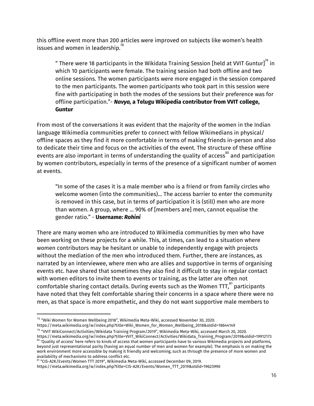this offline event more than 200 articles were improved on subjects like women's health issues and women in leadership. $^{\rm 78}$ 

" There were 18 participants in the Wikidata Training Session [held at VVIT Guntur] $^{79}$  in which 10 participants were female. The training session had both offline and two online sessions. The women participants were more engaged in the session compared to the men participants. The women participants who took part in this session were fine with participating in both the modes of the sessions but their preference was for offline participation."- *Navya,* **a Telugu Wikipedia contributor from VVIT college, Guntur**

From most of the conversations it was evident that the majority of the women in the Indian language Wikimedia communities prefer to connect with fellow Wikimedians in physical/ offline spaces as they find it more comfortable in terms of making friends in-person and also to dedicate their time and focus on the activities of the event. The structure of these offline events are also important in terms of understanding the quality of access $^{\rm 80}$  and participation by women contributors, especially in terms of the presence of a significant number of women at events.

"In some of the cases it is a male member who is a friend or from family circles who welcome women (into the communities)… The access barrier to enter the community is removed in this case, but in terms of participation it is (still) men who are more than women. A group, where ... 90% of [members are] men, cannot equalise the gender ratio." - **Username:** *Rohini*

There are many women who are introduced to Wikimedia communities by men who have been working on these projects for a while. This, at times, can lead to a situation where women contributors may be hesitant or unable to independently engage with projects without the mediation of the men who introduced them. Further, there are instances, as narrated by an interviewee, where men who are allies and supportive in terms of organising events etc. have shared that sometimes they also find it difficult to stay in regular contact with women editors to invite them to events or training, as the latter are often not comfortable sharing contact details. During events such as the Women TTT, $^{\mathrm{81}}$  participants have noted that they felt comfortable sharing their concerns in a space where there were no men, as that space is more empathetic, and they do not want supportive male members to

 $^{78}$  "Wiki Women for Women Wellbeing 2018", Wikimedia Meta-Wiki, accessed November 30, 2020. https://meta.wikimedia.org/w/index.php?title=Wiki\_Women\_for\_Women\_Wellbeing\_2018&oldid=18644149

 $^{79}$  "VVIT WikiConnect/Activities/Wikidata Training Program/2019", Wikimedia Meta-Wiki, accessed March 20, 2020. https://meta.wikimedia.org/w/index.php?title=VVIT\_WikiConnect/Activities/Wikidata\_Training\_Program/2019&oldid=19912173  $^{80}$  'Quality of access' here refers to kinds of access that women participants have to various Wikimedia projects and platforms, beyond just representational parity (having an equal number of men and women for example). The emphasis is on making the work environment more accessible by making it friendly and welcoming, such as through the presence of more women and availability of mechanisms to address conflict etc.

 $^{\text{81}}$  "CIS-A2K/Events/Women TTT 2019", Wikimedia Meta-Wiki, accessed December 09, 2019.

https://meta.wikimedia.org/w/index.php?title=CIS-A2K/Events/Women\_TTT\_2019&oldid=19623990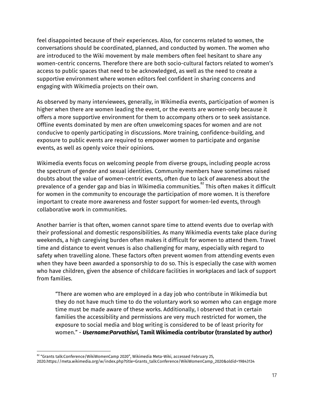feel disappointed because of their experiences. Also, for concerns related to women, the conversations should be coordinated, planned, and conducted by women. The women who are introduced to the Wiki movement by male members often feel hesitant to share any women-centric concerns. Therefore there are both socio-cultural factors related to women's access to public spaces that need to be acknowledged, as well as the need to create a supportive environment where women editors feel confident in sharing concerns and engaging with Wikimedia projects on their own.

As observed by many interviewees, generally, in Wikimedia events, participation of women is higher when there are women leading the event, or the events are women-only because it offers a more supportive environment for them to accompany others or to seek assistance. Offline events dominated by men are often unwelcoming spaces for women and are not conducive to openly participating in discussions. More training, confidence-building, and exposure to public events are required to empower women to participate and organise events, as well as openly voice their opinions.

Wikimedia events focus on welcoming people from diverse groups, including people across the spectrum of gender and sexual identities. Community members have sometimes raised doubts about the value of women-centric events, often due to lack of awareness about the prevalence of a gender gap and bias in Wikimedia communities. $^{\mathrm{82}}$  This often makes it difficult for women in the community to encourage the participation of more women. It is therefore important to create more awareness and foster support for women-led events, through collaborative work in communities.

Another barrier is that often, women cannot spare time to attend events due to overlap with their professional and domestic responsibilities. As many Wikimedia events take place during weekends, a high caregiving burden often makes it difficult for women to attend them. Travel time and distance to event venues is also challenging for many, especially with regard to safety when travelling alone. These factors often prevent women from attending events even when they have been awarded a sponsorship to do so. This is especially the case with women who have children, given the absence of childcare facilities in workplaces and lack of support from families.

"There are women who are employed in a day job who contribute in Wikimedia but they do not have much time to do the voluntary work so women who can engage more time must be made aware of these works. Additionally, I observed that in certain families the accessibility and permissions are very much restricted for women, the exposure to social media and blog writing is considered to be of least priority for women." - *Username:Parvathisri,* **Tamil Wikimedia contributor (translated by author)**

 $^{\text{\tiny 82}}$  "Grants talk:Conference/WikiWomenCamp 2020", Wikimedia Meta-Wiki, accessed February 25,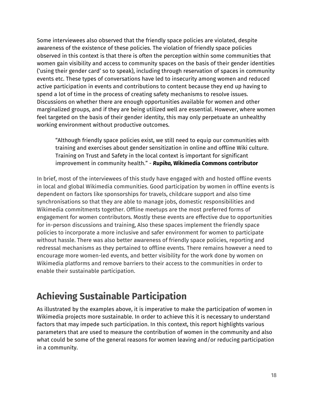Some interviewees also observed that the friendly space policies are violated, despite awareness of the existence of these policies. The violation of friendly space policies observed in this context is that there is often the perception within some communities that women gain visibility and access to community spaces on the basis of their gender identities ('using their gender card' so to speak), including through reservation of spaces in community events etc. These types of conversations have led to insecurity among women and reduced active participation in events and contributions to content because they end up having to spend a lot of time in the process of creating safety mechanisms to resolve issues. Discussions on whether there are enough opportunities available for women and other marginalized groups, and if they are being utilized well are essential. However, where women feel targeted on the basis of their gender identity, this may only perpetuate an unhealthy working environment without productive outcomes.

"Although friendly space policies exist, we still need to equip our communities with training and exercises about gender sensitization in online and offline Wiki culture. Training on Trust and Safety in the local context is important for significant improvement in community health." - *Rupika,* **Wikimedia Commons contributor**

In brief, most of the interviewees of this study have engaged with and hosted offline events in local and global Wikimedia communities. Good participation by women in offline events is dependent on factors like sponsorships for travels, childcare support and also time synchronisations so that they are able to manage jobs, domestic responsibilities and Wikimedia commitments together. Offline meetups are the most preferred forms of engagement for women contributors. Mostly these events are effective due to opportunities for in-person discussions and training, Also these spaces implement the friendly space policies to incorporate a more inclusive and safer environment for women to participate without hassle. There was also better awareness of friendly space policies, reporting and redressal mechanisms as they pertained to offline events. There remains however a need to encourage more women-led events, and better visibility for the work done by women on Wikimedia platforms and remove barriers to their access to the communities in order to enable their sustainable participation.

### **Achieving Sustainable Participation**

As illustrated by the examples above, it is imperative to make the participation of women in Wikimedia projects more sustainable. In order to achieve this it is necessary to understand factors that may impede such participation. In this context, this report highlights various parameters that are used to measure the contribution of women in the community and also what could be some of the general reasons for women leaving and/or reducing participation in a community.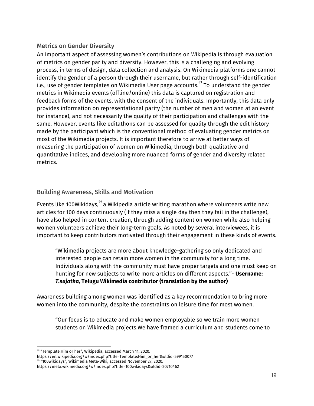#### Metrics on Gender Diversity

An important aspect of assessing women's contributions on Wikipedia is through evaluation of metrics on gender parity and diversity. However, this is a challenging and evolving process, in terms of design, data collection and analysis. On Wikimedia platforms one cannot identify the gender of a person through their username, but rather through self-identification i.e., use of gender templates on Wikimedia User page accounts. $^{\rm 83}$  To understand the gender metrics in Wikimedia events (offline/online) this data is captured on registration and feedback forms of the events, with the consent of the individuals. Importantly, this data only provides information on representational parity (the number of men and women at an event for instance), and not necessarily the quality of their participation and challenges with the same. However, events like editathons can be assessed for quality through the edit history made by the participant which is the conventional method of evaluating gender metrics on most of the Wikimedia projects. It is important therefore to arrive at better ways of measuring the participation of women on Wikimedia, through both qualitative and quantitative indices, and developing more nuanced forms of gender and diversity related metrics.

#### Building Awareness, Skills and Motivation

Events like 100Wikidays, $\degree^4$ a Wikipedia article writing marathon where volunteers write new articles for 100 days continuously (if they miss a single day then they fail in the challenge), have also helped in content creation, through adding content on women while also helping women volunteers achieve their long-term goals. As noted by several interviewees, it is important to keep contributors motivated through their engagement in these kinds of events.

"Wikimedia projects are more about knowledge-gathering so only dedicated and interested people can retain more women in the community for a long time. Individuals along with the community must have proper targets and one must keep on hunting for new subjects to write more articles on different aspects."- **Username:** *T.sujatha,* **Telugu Wikimedia contributor (translation by the author)**

Awareness building among women was identified as a key recommendation to bring more women into the community, despite the constraints on leisure time for most women.

"Our focus is to educate and make women employable so we train more women students on Wikimedia projects.We have framed a curriculum and students come to

 $^{\text{83}}$  "Template:Him or her", Wikipedia, accessed March 11, 2020.

https://en.wikipedia.org/w/index.php?title=Template:Him\_or\_her&oldid=599150077

<sup>84</sup> "100wikidays", Wikimedia Meta-Wiki, accessed November 27, 2020.

https://meta.wikimedia.org/w/index.php?title=100wikidays&oldid=20710462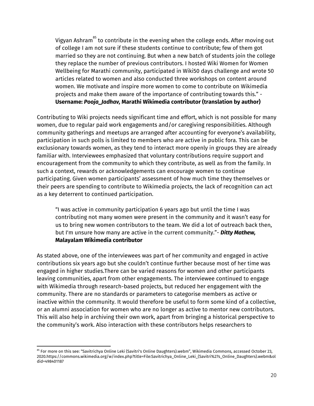Vigyan Ashram $\mathrm{^{85}}$  to contribute in the evening when the college ends. After moving out of college I am not sure if these students continue to contribute; few of them got married so they are not continuing. But when a new batch of students join the college they replace the number of previous contributors. I hosted Wiki Women for Women Wellbeing for Marathi community, participated in Wiki50 days challenge and wrote 50 articles related to women and also conducted three workshops on content around women. We motivate and inspire more women to come to contribute on Wikimedia projects and make them aware of the importance of contributing towards this." - **Username:** *Pooja\_Jadhav,* **Marathi Wikimedia contributor (translation by author)**

Contributing to Wiki projects needs significant time and effort, which is not possible for many women, due to regular paid work engagements and/or caregiving responsibilities. Although community gatherings and meetups are arranged after accounting for everyone's availability, participation in such polls is limited to members who are active in public fora. This can be exclusionary towards women, as they tend to interact more openly in groups they are already familiar with. Interviewees emphasized that voluntary contributions require support and encouragement from the community to which they contribute, as well as from the family. In such a context, rewards or acknowledgements can encourage women to continue participating. Given women participants' assessment of how much time they themselves or their peers are spending to contribute to Wikimedia projects, the lack of recognition can act as a key deterrent to continued participation.

"I was active in community participation 6 years ago but until the time I was contributing not many women were present in the community and it wasn't easy for us to bring new women contributors to the team. We did a lot of outreach back then, but I'm unsure how many are active in the current community."- *Ditty Mathew,* **Malayalam Wikimedia contributor**

As stated above, one of the interviewees was part of her community and engaged in active contributions six years ago but she couldn't continue further because most of her time was engaged in higher studies.There can be varied reasons for women and other participants leaving communities, apart from other engagements. The interviewee continued to engage with Wikimedia through research-based projects, but reduced her engagement with the community. There are no standards or parameters to categorise members as active or inactive within the community. It would therefore be useful to form some kind of a collective, or an alumni association for women who are no longer as active to mentor new contributors. This will also help in archiving their own work, apart from bringing a historical perspective to the community's work. Also interaction with these contributors helps researchers to

<sup>&</sup>lt;sup>85</sup> For more on this see: "Savitrichya Online Leki (Savitri's Online Daughters).webm", Wikimedia Commons, accessed October 23, 2020.https://commons.wikimedia.org/w/index.php?title=File:Savitrichya\_Online\_Leki\_(Savitri%27s\_Online\_Daughters).webm&ol did=498401187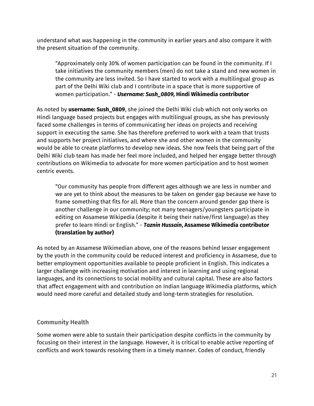understand what was happening in the community in earlier years and also compare it with the present situation of the community.

"Approximately only 30% of women participation can be found in the community. If I take initiatives the community members (men) do not take a stand and new women in the community are less invited. So I have started to work with a multilingual group as part of the Delhi Wiki club and I contribute in a space that is more supportive of women participation." - *Username: Sush\_0809,* **Hindi Wikimedia contributor**

As noted by **username: Sush\_0809**, she joined the Delhi Wiki club which not only works on Hindi language based projects but engages with multilingual groups, as she has previously faced some challenges in terms of communicating her ideas on projects and receiving support in executing the same. She has therefore preferred to work with a team that trusts and supports her project initiatives, and where she and other women in the community would be able to create platforms to develop new ideas. She now feels that being part of the Delhi Wiki club team has made her feel more included, and helped her engage better through contributions on Wikimedia to advocate for more women participation and to host women centric events.

"Our community has people from different ages although we are less in number and we are yet to think about the measures to be taken on gender gap because we have to frame something that fits for all. More than the concern around gender gap there is another challenge in our community; not many teenagers/youngsters participate in editing on Assamese Wikipedia (despite it being their native/first language) as they prefer to learn Hindi or English." - *Taznin Hussain***, Assamese Wikimedia contributor (translation by author)**

As noted by an Assamese Wikimedian above, one of the reasons behind lesser engagement by the youth in the community could be reduced interest and proficiency in Assamese, due to better employment opportunities available to people proficient in English. This indicates a larger challenge with increasing motivation and interest in learning and using regional languages, and its connections to social mobility and cultural capital. These are also factors that affect engagement with and contribution on Indian language Wikimedia platforms, which would need more careful and detailed study and long-term strategies for resolution.

#### Community Health

Some women were able to sustain their participation despite conflicts in the community by focusing on their interest in the language. However, it is critical to enable active reporting of conflicts and work towards resolving them in a timely manner. Codes of conduct, friendly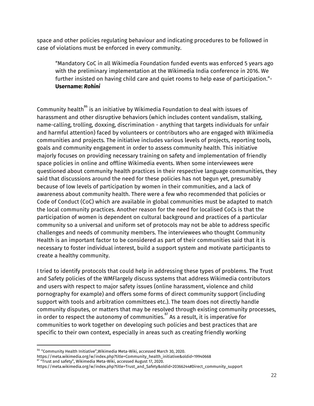space and other policies regulating behaviour and indicating procedures to be followed in case of violations must be enforced in every community.

"Mandatory CoC in all Wikimedia Foundation funded events was enforced 5 years ago with the preliminary implementation at the Wikimedia India conference in 2016. We further insisted on having child care and quiet rooms to help ease of participation."- **Username:** *Rohini*

Community health $^{\rm 86}$  is an initiative by Wikimedia Foundation to deal with issues of harassment and other disruptive behaviors (which includes content vandalism, stalking, name-calling, trolling, doxxing, discrimination - anything that targets individuals for unfair and harmful attention) faced by volunteers or contributors who are engaged with Wikimedia communities and projects. The initiative includes various levels of projects, reporting tools, goals and community engagement in order to assess community health. This initiative majorly focuses on providing necessary training on safety and implementation of friendly space policies in online and offline Wikimedia events. When some interviewees were questioned about community health practices in their respective language communities, they said that discussions around the need for these policies has not begun yet, presumably because of low levels of participation by women in their communities, and a lack of awareness about community health. There were a few who recommended that policies or Code of Conduct (CoC) which are available in global communities must be adapted to match the local community practices. Another reason for the need for localised CoCs is that the participation of women is dependent on cultural background and practices of a particular community so a universal and uniform set of protocols may not be able to address specific challenges and needs of community members. The interviewees who thought Community Health is an important factor to be considered as part of their communities said that it is necessary to foster individual interest, build a support system and motivate participants to create a healthy community.

I tried to identify protocols that could help in addressing these types of problems. The Trust and Safety policies of the WMFlargely discuss systems that address Wikimedia contributors and users with respect to major safety issues (online harassment, violence and child pornography for example) and offers some forms of direct community support (including support with tools and arbitration committees etc.). The team does not directly handle community disputes, or matters that may be resolved through existing community processes, in order to respect the autonomy of communities. $^{87}$  As a result, it is imperative for communities to work together on developing such policies and best practices that are specific to their own context, especially in areas such as creating friendly working

 $\rm ^{86}$  "Community Health Initiative",Wikimedia Meta-Wiki, accessed March 30, 2020.

https://meta.wikimedia.org/w/index.php?title=Community\_health\_initiative&oldid=19940668  $87$  "Trust and safety", Wikimedia Meta-Wiki, accessed August 17, 2020.

https://meta.wikimedia.org/w/index.php?title=Trust\_and\_Safety&oldid=20366244#Direct\_community\_support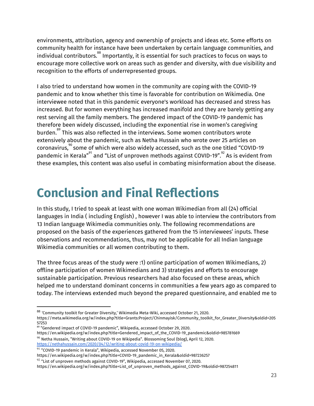environments, attribution, agency and ownership of projects and ideas etc. Some efforts on community health for instance have been undertaken by certain language communities, and individual contributors. $^{\rm 88}$  Importantly, it is essential for such practices to focus on ways to encourage more collective work on areas such as gender and diversity, with due visibility and recognition to the efforts of underrepresented groups.

I also tried to understand how women in the community are coping with the COVID-19 pandemic and to know whether this time is favorable for contribution on Wikimedia. One interviewee noted that in this pandemic everyone's workload has decreased and stress has increased. But for women everything has increased manifold and they are barely getting any rest serving all the family members. The gendered impact of the COVID-19 pandemic has therefore been widely discussed, including the exponential rise in women's caregiving burden. $^{\text{89}}$  This was also reflected in the interviews. Some women contributors wrote extensively about the pandemic, such as Netha Hussain who wrote over 25 articles on coronavirus, $\degree$  some of which were also widely accessed, such as the one titled "COVID-19 pandemic in Kerala" $^{\textrm{\tiny{91}}}$  and "List of unproven methods against COVID-19". $^{\textrm{\tiny{92}}}$  As is evident from these examples, this content was also useful in combating misinformation about the disease.

# **Conclusion and Final Reflections**

In this study, I tried to speak at least with one woman Wikimedian from all (24) official languages in India ( including English) , however I was able to interview the contributors from 13 Indian language Wikimedia communities only. The following recommendations are proposed on the basis of the experiences gathered from the 15 interviewees' inputs. These observations and recommendations, thus, may not be applicable for all Indian language Wikimedia communities or all women contributing to them.

The three focus areas of the study were :1) online participation of women Wikimedians, 2) offline participation of women Wikimedians and 3) strategies and efforts to encourage sustainable participation. Previous researchers had also focused on these areas, which helped me to understand dominant concerns in communities a few years ago as compared to today. The interviews extended much beyond the prepared questionnaire, and enabled me to

 $^{\rm 88}$  'Community toolkit for Greater Diversity,' Wikimedia Meta-Wiki, accessed October 21, 2020. https://meta.wikimedia.org/w/index.php?title=Grants:Project/Chinmayisk/Community\_toolkit\_for\_Greater\_Diversity&oldid=205 57253

 $^{89}$  "Gendered impact of COVID-19 pandemic", Wikipedia, accessed October 29, 2020. https://en.wikipedia.org/w/index.php?title=Gendered\_impact\_of\_the\_COVID-19\_pandemic&oldid=985781669  $90$  Netha Hussain, "Writing about COVID-19 on Wikipedia". Blossoming Soul (blog), April 12, 2020. <https://nethahussain.com/2020/04/12/writing-about-covid-19-on-wikipedia/>

 $^{91}$  "COVID-19 pandemic in Kerala", Wikipedia, accessed November 05, 2020.

https://en.wikipedia.org/w/index.php?title=COVID-19\_pandemic\_in\_Kerala&oldid=987236257

 $^{92}$  "List of unproven methods against COVID-19", Wikipedia, accessed November 07, 2020.

https://en.wikipedia.org/w/index.php?title=List\_of\_unproven\_methods\_against\_COVID-19&oldid=987254811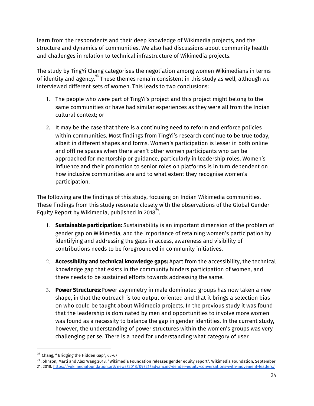learn from the respondents and their deep knowledge of Wikimedia projects, and the structure and dynamics of communities. We also had discussions about community health and challenges in relation to technical infrastructure of Wikimedia projects.

The study by TingYi Chang categorises the negotiation among women Wikimedians in terms of identity and agency. $^{^{93}}$  These themes remain consistent in this study as well, although we interviewed different sets of women. This leads to two conclusions:

- 1. The people who were part of TingYi's project and this project might belong to the same communities or have had similar experiences as they were all from the Indian cultural context; or
- 2. It may be the case that there is a continuing need to reform and enforce policies within communities. Most findings from TingYi's research continue to be true today, albeit in different shapes and forms. Women's participation is lesser in both online and offline spaces when there aren't other women participants who can be approached for mentorship or guidance, particularly in leadership roles. Women's influence and their promotion to senior roles on platforms is in turn dependent on how inclusive communities are and to what extent they recognise women's participation.

The following are the findings of this study, focusing on Indian Wikimedia communities. These findings from this study resonate closely with the observations of the Global Gender Equity Report by Wikimedia, published in 2018 $^{\frac{94}{}}$ .

- 1. **Sustainable participation:** Sustainability is an important dimension of the problem of gender gap on Wikimedia, and the importance of retaining women's participation by identifying and addressing the gaps in access, awareness and visibility of contributions needs to be foregrounded in community initiatives.
- 2. **Accessibility and technical knowledge gaps:** Apart from the accessibility, the technical knowledge gap that exists in the community hinders participation of women, and there needs to be sustained efforts towards addressing the same.
- 3. **Power Structures:**Power asymmetry in male dominated groups has now taken a new shape, in that the outreach is too output oriented and that it brings a selection bias on who could be taught about Wikimedia projects. In the previous study it was found that the leadership is dominated by men and opportunities to involve more women was found as a necessity to balance the gap in gender identities. In the current study, however, the understanding of power structures within the women's groups was very challenging per se. There is a need for understanding what category of user

<sup>93</sup> Chang, " Bridging the Hidden Gap", 65-67

 $94$  Johnson, Marti and Alex Wang.2018. "Wikimedia Foundation releases gender equity report". Wikimedia Foundation, September 21, 2018. <https://wikimediafoundation.org/news/2018/09/21/advancing-gender-equity-conversations-with-movement-leaders/>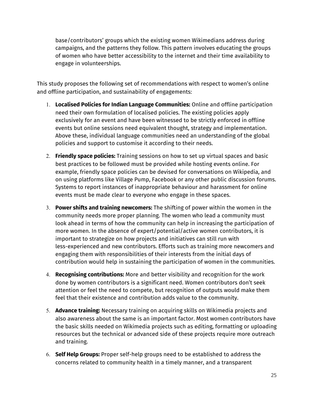base/contributors' groups which the existing women Wikimedians address during campaigns, and the patterns they follow. This pattern involves educating the groups of women who have better accessibility to the internet and their time availability to engage in volunteerships.

This study proposes the following set of recommendations with respect to women's online and offline participation, and sustainability of engagements:

- 1. **Localised Policies for Indian Language Communities:** Online and offline participation need their own formulation of localised policies. The existing policies apply exclusively for an event and have been witnessed to be strictly enforced in offline events but online sessions need equivalent thought, strategy and implementation. Above these, individual language communities need an understanding of the global policies and support to customise it according to their needs.
- 2. **Friendly space policies:** Training sessions on how to set up virtual spaces and basic best practices to be followed must be provided while hosting events online. For example, friendly space policies can be devised for conversations on Wikipedia, and on using platforms like Village Pump, Facebook or any other public discussion forums. Systems to report instances of inappropriate behaviour and harassment for online events must be made clear to everyone who engage in these spaces.
- 3. **Power shifts and training newcomers:** The shifting of power within the women in the community needs more proper planning. The women who lead a community must look ahead in terms of how the community can help in increasing the participation of more women. In the absence of expert/potential/active women contributors, it is important to strategize on how projects and initiatives can still run with less-experienced and new contributors. Efforts such as training more newcomers and engaging them with responsibilities of their interests from the initial days of contribution would help in sustaining the participation of women in the communities.
- 4. **Recognising contributions:** More and better visibility and recognition for the work done by women contributors is a significant need. Women contributors don't seek attention or feel the need to compete, but recognition of outputs would make them feel that their existence and contribution adds value to the community.
- 5. **Advance training:** Necessary training on acquiring skills on Wikimedia projects and also awareness about the same is an important factor. Most women contributors have the basic skills needed on Wikimedia projects such as editing, formatting or uploading resources but the technical or advanced side of these projects require more outreach and training.
- 6. **Self Help Groups:** Proper self-help groups need to be established to address the concerns related to community health in a timely manner, and a transparent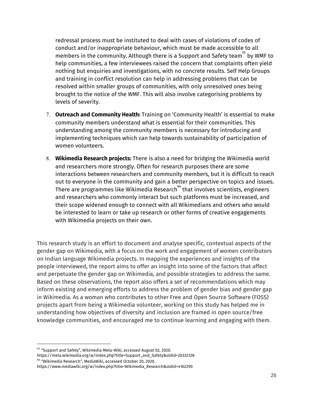redressal process must be instituted to deal with cases of violations of codes of conduct and/or inappropriate behaviour, which must be made accessible to all members in the community. Although there is a Support and Safety team $^{\mathfrak{H}}$  by WMF to help communities, a few interviewees raised the concern that complaints often yield nothing but enquiries and investigations, with no concrete results. Self Help Groups and training in conflict resolution can help in addressing problems that can be resolved within smaller groups of communities, with only unresolved ones being brought to the notice of the WMF. This will also involve categorising problems by levels of severity.

- 7. **Outreach and Community Health:** Training on 'Community Health' is essential to make community members understand what is essential for their communities. This understanding among the community members is necessary for introducing and implementing techniques which can help towards sustainability of participation of women volunteers.
- 8. **Wikimedia Research projects:** There is also a need for bridging the Wikimedia world and researchers more strongly. Often for research purposes there are some interactions between researchers and community members, but it is difficult to reach out to everyone in the community and gain a better perspective on topics and issues. There are programmes like Wikimedia Research $^{\text{96}}$  that involves scientists, engineers and researchers who commonly interact but such platforms must be increased, and their scope widened enough to connect with all Wikimedians and others who would be interested to learn or take up research or other forms of creative engagements with Wikimedia projects on their own.

This research study is an effort to document and analyse specific, contextual aspects of the gender gap on Wikimedia, with a focus on the work and engagement of women contributors on Indian language Wikimedia projects. In mapping the experiences and insights of the people interviewed, the report aims to offer an insight into some of the factors that affect and perpetuate the gender gap on Wikimedia, and possible strategies to address the same. Based on these observations, the report also offers a set of recommendations which may inform existing and emerging efforts to address the problem of gender bias and gender gap in Wikimedia. As a woman who contributes to other Free and Open Source Software (FOSS) projects apart from being a Wikimedia volunteer, working on this study has helped me in understanding how objectives of diversity and inclusion are framed in open source/free knowledge communities, and encouraged me to continue learning and engaging with them.

 $^{95}$  "Support and Safety", Wikimedia Meta-Wiki, accessed August 02, 2020.

https://meta.wikimedia.org/w/index.php?title=Support\_and\_Safety&oldid=20332128  $^{96}$  "Wikimedia Research", MediaWiki, accessed October 20, 2020.

https://www.mediawiki.org/w/index.php?title=Wikimedia\_Research&oldid=4162290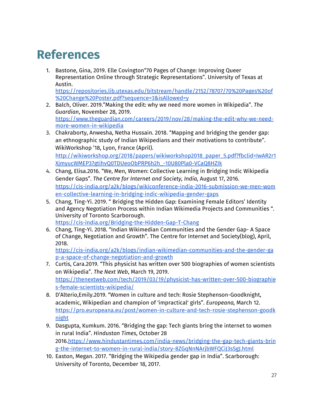# **References**

1. Bastone, Gina, 2019. Elle Covington"70 Pages of Change: Improving Queer Representation Online through Strategic Representations". University of Texas at Austin.

[https://repositories.lib.utexas.edu/bitstream/handle/2152/78707/70%20Pages%20of](https://repositories.lib.utexas.edu/bitstream/handle/2152/78707/70%20Pages%20of%20Change%20Poster.pdf?sequence=3&isAllowed=y) [%20Change%20Poster.pdf?sequence=3&isAllowed=y](https://repositories.lib.utexas.edu/bitstream/handle/2152/78707/70%20Pages%20of%20Change%20Poster.pdf?sequence=3&isAllowed=y)

- 2. Balch, Oliver. 2019."Making the edit: why we need more women in Wikipedia". *The Guardian*, November 28, 2019. [https://www.theguardian.com/careers/2019/nov/28/making-the-edit-why-we-need](https://www.theguardian.com/careers/2019/nov/28/making-the-edit-why-we-need-more-women-in-wikipedia)[more-women-in-wikipedia](https://www.theguardian.com/careers/2019/nov/28/making-the-edit-why-we-need-more-women-in-wikipedia)
- 3. Chakraborty, Anwesha, Netha Hussain. 2018. "Mapping and bridging the gender gap: an ethnographic study of Indian Wikipedians and their motivations to contribute". WikiWorkshop '18, Lyon, France (April). [http://wikiworkshop.org/2018/papers/wikiworkshop2018\\_paper\\_5.pdf?fbclid=IwAR2r1](http://wikiworkshop.org/2018/papers/wikiworkshop2018_paper_5.pdf?fbclid=IwAR2r1XjmyucWMEP37gtihvQ0TDUeoObPRP6h2h_-10U80Pla0-VCaQ8HZIk) [XjmyucWMEP37gtihvQ0TDUeoObPRP6h2h\\_-10U80Pla0-VCaQ8HZIk](http://wikiworkshop.org/2018/papers/wikiworkshop2018_paper_5.pdf?fbclid=IwAR2r1XjmyucWMEP37gtihvQ0TDUeoObPRP6h2h_-10U80Pla0-VCaQ8HZIk)
- 4. Chang, Elisa.2016. "We, Men, Women: Collective Learning in Bridging Indic Wikipedia Gender Gaps". *The Centre for Internet and Society, India,* August 17, 2016. [https://cis-india.org/a2k/blogs/wikiconference-india-2016-submission-we-men-wom](https://cis-india.org/a2k/blogs/wikiconference-india-2016-submission-we-men-women-collective-learning-in-bridging-indic-wikipedia-gender-gaps) [en-collective-learning-in-bridging-indic-wikipedia-gender-gaps](https://cis-india.org/a2k/blogs/wikiconference-india-2016-submission-we-men-women-collective-learning-in-bridging-indic-wikipedia-gender-gaps)
- 5. Chang, Ting-Yi. 2019. " Bridging the Hidden Gap: Examining Female Editors' Identity and Agency Negotiation Process within Indian Wikimedia Projects and Communities ". University of Toronto Scarborough. <https://cis-india.org/Bridging-the-Hidden-Gap-T-Chang>
- 6. Chang, Ting-Yi. 2018. "Indian Wikimedian Communities and the Gender Gap- A Space of Change, Negotiation and Growth". The Centre for Internet and Society(blog), April, 2018.

[https://cis-india.org/a2k/blogs/indian-wikimedian-communities-and-the-gender-ga](https://cis-india.org/a2k/blogs/indian-wikimedian-communities-and-the-gender-gap-a-space-of-change-negotiation-and-growth) [p-a-space-of-change-negotiation-and-growth](https://cis-india.org/a2k/blogs/indian-wikimedian-communities-and-the-gender-gap-a-space-of-change-negotiation-and-growth)

- 7. Curtis, Cara.2019. "This physicist has written over 500 biographies of women scientists on Wikipedia". *The Next Web*, March 19, 2019. [https://thenextweb.com/tech/2019/03/19/physicist-has-written-over-500-biographie](https://thenextweb.com/tech/2019/03/19/physicist-has-written-over-500-biographies-female-scientists-wikipedia/) [s-female-scientists-wikipedia/](https://thenextweb.com/tech/2019/03/19/physicist-has-written-over-500-biographies-female-scientists-wikipedia/)
- 8. D'Alterio,Emily.2019. "Women in culture and tech: Rosie Stephenson-Goodknight, academic, Wikipedian and champion of 'impractical' girls". *Europeana,* March 12. [https://pro.europeana.eu/post/women-in-culture-and-tech-rosie-stephenson-goodk](https://pro.europeana.eu/post/women-in-culture-and-tech-rosie-stephenson-goodknight) [night](https://pro.europeana.eu/post/women-in-culture-and-tech-rosie-stephenson-goodknight)
- 9. Dasgupta, Kumkum. 2016. "Bridging the gap: Tech giants bring the internet to women in rural India". *Hindustan Times*, October 28 2016.[https://www.hindustantimes.com/india-news/bridging-the-gap-tech-giants-brin](https://www.hindustantimes.com/india-news/bridging-the-gap-tech-giants-bring-the-internet-to-women-in-rural-india/story-8ZGqNnNArjbWFQCiJ3sSgJ.html) [g-the-internet-to-women-in-rural-india/story-8ZGqNnNArjbWFQCiJ3sSgJ.html](https://www.hindustantimes.com/india-news/bridging-the-gap-tech-giants-bring-the-internet-to-women-in-rural-india/story-8ZGqNnNArjbWFQCiJ3sSgJ.html)
- 10. Easton, Megan. 2017. "Bridging the Wikipedia gender gap in India". Scarborough: University of Toronto, December 18, 2017.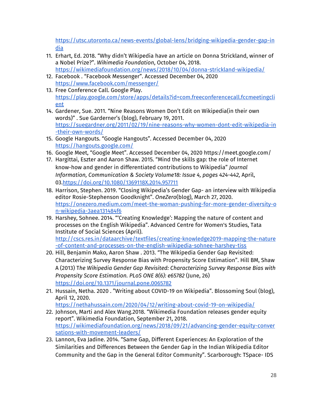[https://utsc.utoronto.ca/news-events/global-lens/bridging-wikipedia-gender-gap-in](https://utsc.utoronto.ca/news-events/global-lens/bridging-wikipedia-gender-gap-india) [dia](https://utsc.utoronto.ca/news-events/global-lens/bridging-wikipedia-gender-gap-india)

- 11. Erhart, Ed. 2018. "Why didn't Wikipedia have an article on Donna Strickland, winner of a Nobel Prize?". *Wikimedia Foundation*, October 04, 2018. <https://wikimediafoundation.org/news/2018/10/04/donna-strickland-wikipedia/>
- 12. Facebook . "Facebook Messenger". Accessed December 04, 2020 <https://www.facebook.com/messenger/>
- 13. Free Conference Call. Google Play. [https://play.google.com/store/apps/details?id=com.freeconferencecall.fccmeetingcli](https://play.google.com/store/apps/details?id=com.freeconferencecall.fccmeetingclient) [ent](https://play.google.com/store/apps/details?id=com.freeconferencecall.fccmeetingclient)
- 14. Gardener, Sue. 2011. "Nine Reasons Women Don't Edit on Wikipedia(in their own words)" . Sue Garderner's (blog), February 19, 2011. [https://suegardner.org/2011/02/19/nine-reasons-why-women-dont-edit-wikipedia-in](https://suegardner.org/2011/02/19/nine-reasons-why-women-dont-edit-wikipedia-in-their-own-words/) [-their-own-words/](https://suegardner.org/2011/02/19/nine-reasons-why-women-dont-edit-wikipedia-in-their-own-words/)
- 15. Google Hangouts. "Google Hangouts". Accessed December 04, 2020 <https://hangouts.google.com/>
- 16. Google Meet, "Google Meet". Accessed December 04, 2020 https://meet.google.com/
- 17. [Hargittai,](https://www.tandfonline.com/author/Hargittai%2C+Eszter) Eszter and [Aaron](https://www.tandfonline.com/author/Shaw%2C+Aaron) Shaw. 2015. "Mind the skills gap: the role of Internet know-how and gender in differentiated contributions to Wikipedia" *Journal Information, Communication & Society Volume18: Issue 4, pages 424-442,* April, 03[.https://doi.org/10.1080/1369118X.2014.957711](https://doi.org/10.1080/1369118X.2014.957711)
- 18. Harrison, Stephen. 2019. "Closing Wikipedia's Gender Gap- an interview with Wikipedia editor Rosie-Stephenson Goodknight". *OneZero*(blog), March 27, 2020. [https://onezero.medium.com/meet-the-woman-pushing-for-more-gender-diversity-o](https://onezero.medium.com/meet-the-woman-pushing-for-more-gender-diversity-on-wikipedia-3aea131484f6) [n-wikipedia-3aea131484f6](https://onezero.medium.com/meet-the-woman-pushing-for-more-gender-diversity-on-wikipedia-3aea131484f6)
- 19. Harshey, Sohnee. 2014. "'Creating Knowledge': Mapping the nature of content and processes on the English Wikipedia". Advanced Centre for Women's Studies, Tata Institute of Social Sciences (April). [http://cscs.res.in/dataarchive/textfiles/creating-knowledge2019-mapping-the-nature](http://cscs.res.in/dataarchive/textfiles/creating-knowledge2019-mapping-the-nature-of-content-and-processes-on-the-english-wikipedia-sohnee-harshey-tiss)
- [-of-content-and-processes-on-the-english-wikipedia-sohnee-harshey-tiss](http://cscs.res.in/dataarchive/textfiles/creating-knowledge2019-mapping-the-nature-of-content-and-processes-on-the-english-wikipedia-sohnee-harshey-tiss) 20. Hill, Benjamin Mako, Aaron Shaw . 2013. "The Wikipedia Gender Gap Revisited: Characterizing Survey Response Bias with Propensity Score Estimation". Hill BM, Shaw A (2013) T*he Wikipedia Gender Gap Revisited: Characterizing Survey Response Bias with Propensity Score Estimation. PLoS ONE 8(6): e65782* (June, 26) <https://doi.org/10.1371/journal.pone.0065782>
- 21. Hussain, Netha. 2020 . "Writing about COVID-19 on Wikipedia". Blossoming Soul (blog), April 12, 2020. <https://nethahussain.com/2020/04/12/writing-about-covid-19-on-wikipedia/>
- 22. Johnson, Marti and Alex Wang.2018. "Wikimedia Foundation releases gender equity report". Wikimedia Foundation, September 21, 2018. [https://wikimediafoundation.org/news/2018/09/21/advancing-gender-equity-conver](https://wikimediafoundation.org/news/2018/09/21/advancing-gender-equity-conversations-with-movement-leaders/) [sations-with-movement-leaders/](https://wikimediafoundation.org/news/2018/09/21/advancing-gender-equity-conversations-with-movement-leaders/)
- 23. Lannon, Eva Jadine. 2014. "Same Gap, Different Experiences: An Exploration of the Similarities and Differences Between the Gender Gap in the Indian Wikipedia Editor Community and the Gap in the General Editor Community". Scarborough: TSpace- IDS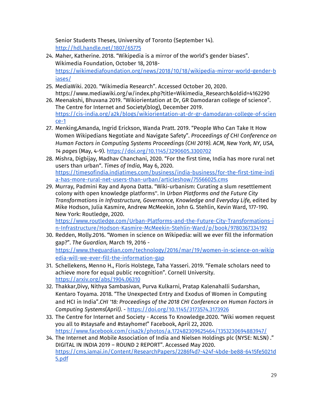Senior Students Theses, University of Toronto (September 14). <http://hdl.handle.net/1807/65775>

- 24. Maher, Katherine. 2018. "Wikipedia is a mirror of the world's gender biases". Wikimedia Foundation, October 18, 2018 [https://wikimediafoundation.org/news/2018/10/18/wikipedia-mirror-world-gender-b](https://wikimediafoundation.org/news/2018/10/18/wikipedia-mirror-world-gender-biases/) [iases/](https://wikimediafoundation.org/news/2018/10/18/wikipedia-mirror-world-gender-biases/)
- 25. MediaWiki. 2020. "Wikimedia Research". Accessed October 20, 2020. https://www.mediawiki.org/w/index.php?title=Wikimedia\_Research&oldid=4162290
- 26. Meenakshi, Bhuvana 2019. "Wikiorientation at Dr, GR Damodaran college of science". The Centre for Internet and Society(blog), December 2019. [https://cis-india.org/a2k/blogs/wikiorientation-at-dr-gr-damodaran-college-of-scien](https://cis-india.org/a2k/blogs/wikiorientation-at-dr-gr-damodaran-college-of-science-1) [ce-1](https://cis-india.org/a2k/blogs/wikiorientation-at-dr-gr-damodaran-college-of-science-1)
- 27. Menking,Amanda, Ingrid Erickson, Wanda Pratt. 2019. "People Who Can Take It How Women Wikipedians Negotiate and Navigate Safety". *Proceedings of CHI Conference on Human Factors in Computing Systems Proceedings (CHI 2019). ACM, New York, NY, USA, 14 pages* (May, 4-9). <https://doi.org/10.1145/3290605.3300702>
- 28. Mishra, Digbijay, Madhav Chanchani, 2020. "For the first time, India has more rural net users than urban". *Times of India*, May 6, 2020. [https://timesofindia.indiatimes.com/business/india-business/for-the-first-time-indi](https://timesofindia.indiatimes.com/business/india-business/for-the-first-time-india-has-more-rural-net-users-than-urban/articleshow/75566025.cms) [a-has-more-rural-net-users-than-urban/articleshow/75566025.cms](https://timesofindia.indiatimes.com/business/india-business/for-the-first-time-india-has-more-rural-net-users-than-urban/articleshow/75566025.cms)
- 29. Murray, Padmini Ray and Ayona Datta. "Wiki-urbanism: Curating a slum resettlement colony with open knowledge platforms''. In *Urban Platforms and the Future City Transformations in Infrastructure, Governance, Knowledge and Everyday Life,* edited by Mike [Hodson](https://www.routledge.com/search?author=Mike%20Hodson), Julia [Kasmire,](https://www.routledge.com/search?author=Julia%20Kasmire) Andrew [McMeekin,](https://www.routledge.com/search?author=Andrew%20McMeekin) John G. [Stehlin,](https://www.routledge.com/search?author=John%20G.%20Stehlin) [Kevin](https://www.routledge.com/search?author=Kevin%20Ward) Ward, 177-190. New York: Routledge, 2020.

[https://www.routledge.com/Urban-Platforms-and-the-Future-City-Transformations-i](https://www.routledge.com/Urban-Platforms-and-the-Future-City-Transformations-in-Infrastructure/Hodson-Kasmire-McMeekin-Stehlin-Ward/p/book/9780367334192) [n-Infrastructure/Hodson-Kasmire-McMeekin-Stehlin-Ward/p/book/9780367334192](https://www.routledge.com/Urban-Platforms-and-the-Future-City-Transformations-in-Infrastructure/Hodson-Kasmire-McMeekin-Stehlin-Ward/p/book/9780367334192)

- 30. Redden, Molly.2016. "Women in science on Wikipedia: will we ever fill the information gap?". *The Guardian,* March 19, 2016 [https://www.theguardian.com/technology/2016/mar/19/women-in-science-on-wikip](https://www.theguardian.com/technology/2016/mar/19/women-in-science-on-wikipedia-will-we-ever-fill-the-information-gap) [edia-will-we-ever-fill-the-information-gap](https://www.theguardian.com/technology/2016/mar/19/women-in-science-on-wikipedia-will-we-ever-fill-the-information-gap)
- 31. Schellekens, Menno H., Floris Holstege, Taha Yasseri. 2019. "Female scholars need to achieve more for equal public recognition". Cornell University. <https://arxiv.org/abs/1904.06310>
- 32. Thakkar,Divy, Nithya Sambasivan, Purva Kulkarni, Pratap Kalenahalli Sudarshan, Kentaro Toyama. 2018. "The Unexpected Entry and Exodus of Women in Computing and HCI in India".*CHI '18: [Proceedings](https://dl.acm.org/doi/proceedings/10.1145/3173574) of the 2018 CHI Conference on Human Factors in [Computing](https://dl.acm.org/doi/proceedings/10.1145/3173574) Systems*(*April)*. - <https://doi.org/10.1145/3173574.3173926>
- 33. The Centre for Internet and Society Access To [Knowledge](https://www.facebook.com/cisa2k/?__tn__=-UC*F).2020. "Wiki women request you all to [#staysafe](https://www.facebook.com/hashtag/staysafe?__eep__=6&__tn__=*NK*F) and [#stayhome](https://www.facebook.com/hashtag/stayhome?__eep__=6&__tn__=*NK*F)!" Facebook, April 22, 2020. <https://www.facebook.com/cisa2k/photos/a.172482309625464/1353230694883947/>
- 34. The Internet and Mobile Association of India and Nielsen Holdings plc (NYSE: NLSN) ." DIGITAL IN INDIA 2019 – ROUND 2 REPORT". Accessed May 2020. [https://cms.iamai.in/Content/ResearchPapers/2286f4d7-424f-4bde-be88-6415fe5021d](https://cms.iamai.in/Content/ResearchPapers/2286f4d7-424f-4bde-be88-6415fe5021d5.pdf) [5.pdf](https://cms.iamai.in/Content/ResearchPapers/2286f4d7-424f-4bde-be88-6415fe5021d5.pdf)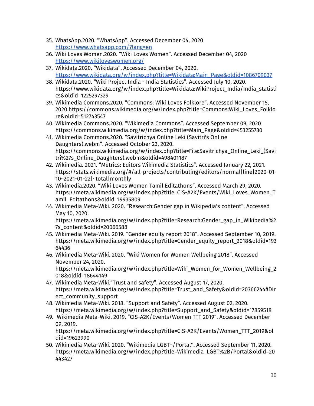- 35. WhatsApp.2020. "WhatsApp". Accessed December 04, 2020 <https://www.whatsapp.com/?lang=en>
- 36. Wiki Loves Women.2020. "Wiki Loves Women". Accessed December 04, 2020 <https://www.wikiloveswomen.org/>
- 37. Wikidata.2020. "Wikidata". Accessed December 04, 2020. [https://www.wikidata.org/w/index.php?title=Wikidata:Main\\_Page&oldid=1086709037](https://www.wikidata.org/w/index.php?title=Wikidata:Main_Page&oldid=1086709037)
- 38. Wikidata.2020. "Wiki Project India India Statistics". Accessed July 10, 2020. https://www.wikidata.org/w/index.php?title=Wikidata:WikiProject\_India/India\_statisti cs&oldid=1225297329
- 39. Wikimedia Commons.2020. "Commons: Wiki Loves Folklore". Accessed November 15, 2020.https://commons.wikimedia.org/w/index.php?title=Commons:Wiki\_Loves\_Folklo re&oldid=512743547
- 40. Wikimedia Commons.2020. "Wikimedia Commons". Accessed September 09, 2020 https://commons.wikimedia.org/w/index.php?title=Main\_Page&oldid=453255730
- 41. Wikimedia Commons.2020. "Savitrichya Online Leki (Savitri's Online Daughters).webm". Accessed October 23, 2020. https://commons.wikimedia.org/w/index.php?title=File:Savitrichya\_Online\_Leki\_(Savi tri%27s\_Online\_Daughters).webm&oldid=498401187
- 42. Wikimedia. 2021. "Metrics: Editors Wikimedia Statistics". Accessed January 22, 2021. https://stats.wikimedia.org/#/all-projects/contributing/editors/normal|line|2020-01- 10~2021-01-22|~total|monthly
- 43. Wikimedia.2020. "Wiki Loves Women Tamil Editathons". Accessed March 29, 2020. https://meta.wikimedia.org/w/index.php?title=CIS-A2K/Events/Wiki\_Loves\_Women\_T amil\_Editathons&oldid=19935809
- 44. Wikimedia Meta-Wiki. 2020. "Research:Gender gap in Wikipedia's content". Accessed May 10, 2020.

https://meta.wikimedia.org/w/index.php?title=Research:Gender\_gap\_in\_Wikipedia%2 7s\_content&oldid=20066588

- 45. Wikimedia Meta-Wiki. 2019. "Gender equity report 2018". Accessed September 10, 2019. https://meta.wikimedia.org/w/index.php?title=Gender\_equity\_report\_2018&oldid=193 64436
- 46. Wikimedia Meta-Wiki. 2020. "Wiki Women for Women Wellbeing 2018". Accessed November 24, 2020. https://meta.wikimedia.org/w/index.php?title=Wiki\_Women\_for\_Women\_Wellbeing\_2 018&oldid=18644149
- 47. Wikimedia Meta-Wiki."Trust and safety". Accessed August 17, 2020. https://meta.wikimedia.org/w/index.php?title=Trust\_and\_Safety&oldid=20366244#Dir ect\_community\_support
- 48. Wikimedia Meta-Wiki. 2018. "Support and Safety". Accessed August 02, 2020. https://meta.wikimedia.org/w/index.php?title=Support\_and\_Safety&oldid=17859518
- 49. Wikimedia Meta-Wiki. 2019. "CIS-A2K/Events/Women TTT 2019". Accessed December 09, 2019.

https://meta.wikimedia.org/w/index.php?title=CIS-A2K/Events/Women\_TTT\_2019&ol did=19623990

50. Wikimedia Meta-Wiki. 2020. "Wikimedia LGBT+/Portal''. Accessed September 11, 2020. https://meta.wikimedia.org/w/index.php?title=Wikimedia\_LGBT%2B/Portal&oldid=20 443427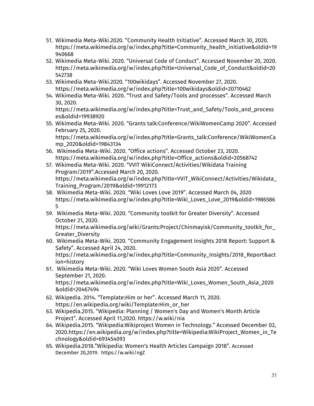- 51. Wikimedia Meta-Wiki.2020. "Community Health Initiative". Accessed March 30, 2020. https://meta.wikimedia.org/w/index.php?title=Community\_health\_initiative&oldid=19 940668
- 52. Wikimedia Meta-Wiki. 2020. "Universal Code of Conduct". Accessed November 20, 2020. https://meta.wikimedia.org/w/index.php?title=Universal\_Code\_of\_Conduct&oldid=20 542738
- 53. Wikimedia Meta-Wiki.2020. "100wikidays". Accessed November 27, 2020. https://meta.wikimedia.org/w/index.php?title=100wikidays&oldid=20710462
- 54. Wikimedia Meta-Wiki. 2020. "Trust and Safety/Tools and processes". Accessed March 30, 2020.

https://meta.wikimedia.org/w/index.php?title=Trust\_and\_Safety/Tools\_and\_process es&oldid=19938920

55. Wikimedia Meta-Wiki. 2020. "Grants talk:Conference/WikiWomenCamp 2020". Accessed February 25, 2020.

https://meta.wikimedia.org/w/index.php?title=Grants\_talk:Conference/WikiWomenCa mp\_2020&oldid=19843134

- 56. Wikimedia Meta-Wiki. 2020. "Office actions". Accessed October 23, 2020. https://meta.wikimedia.org/w/index.php?title=Office\_actions&oldid=20568742
- 57. Wikimedia Meta-Wiki. 2020. "VVIT WikiConnect/Activities/Wikidata Training Program/2019".Accessed March 20, 2020. https://meta.wikimedia.org/w/index.php?title=VVIT\_WikiConnect/Activities/Wikidata\_ Training\_Program/2019&oldid=19912173
- 58. Wikimedia Meta-Wiki. 2020. "Wiki Loves Love 2019". Accessed March 04, 2020 https://meta.wikimedia.org/w/index.php?title=Wiki\_Loves\_Love\_2019&oldid=1986586 5
- 59. Wikimedia Meta-Wiki. 2020. "Community toolkit for Greater Diversity". Accessed October 21, 2020.

https://meta.wikimedia.org/wiki/Grants:Project/Chinmayisk/Community\_toolkit\_for\_ Greater\_Diversity

- 60. Wikimedia Meta-Wiki. 2020. "Community Engagement Insights 2018 Report: Support & Safety". Accessed April 24, 2020. https://meta.wikimedia.org/w/index.php?title=Community\_Insights/2018\_Report&act ion=history
- 61. Wikimedia Meta-Wiki. 2020. "Wiki Loves Women South Asia 2020". Accessed September 21, 2020. https://meta.wikimedia.org/w/index.php?title=Wiki\_Loves\_Women\_South\_Asia\_2020 &oldid=20467494
- 62. Wikipedia. 2014. "Template:Him or her". Accessed March 11, 2020. https://en.wikipedia.org/wiki/Template:Him\_or\_her
- 63. Wikipedia.2015. "Wikipedia: Planning / Women's Day and Women's Month Article Project". Accessed April 11,2020. https://w.wiki/nia
- 64. Wikipedia.2015. "Wikipedia:Wikiproject Women in Technology." Accessed December 02, 2020.https://en.wikipedia.org/w/index.php?title=Wikipedia:WikiProject\_Women\_in\_Te chnology&oldid=693454093
- 65. Wikipedia.2018."Wikipedia: Women's Health Articles Campaign 2018". Accessed December 20,2019. https://w.wiki/ngZ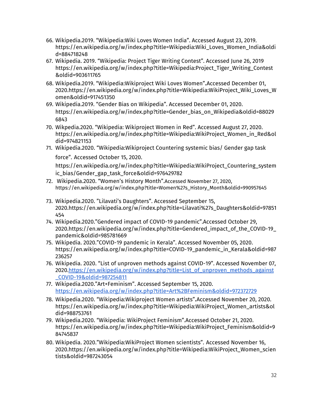- 66. Wikipedia.2019. "Wikipedia:Wiki Loves Women India". Accessed August 23, 2019. https://en.wikipedia.org/w/index.php?title=Wikipedia:Wiki\_Loves\_Women\_India&oldi d=884718248
- 67. Wikipedia. 2019. "Wikipedia: Project Tiger Writing Contest". Accessed June 26, 2019 https://en.wikipedia.org/w/index.php?title=Wikipedia:Project\_Tiger\_Writing\_Contest &oldid=903611765
- 68. Wikipedia.2019. "Wikipedia:Wikiproject Wiki Loves Women".Accessed December 01, 2020.https://en.wikipedia.org/w/index.php?title=Wikipedia:WikiProject\_Wiki\_Loves\_W omen&oldid=917451350
- 69. Wikipedia.2019. "Gender Bias on Wikipedia". Accessed December 01, 2020. https://en.wikipedia.org/w/index.php?title=Gender\_bias\_on\_Wikipedia&oldid=88029 6843
- 70. Wikpedia.2020. "Wikipedia: Wikiproject Women in Red". Accessed August 27, 2020. https://en.wikipedia.org/w/index.php?title=Wikipedia:WikiProject\_Women\_in\_Red&ol did=974821153
- 71. Wikipedia.2020. "Wikipedia:Wikiproject Countering systemic bias/ Gender gap task

force". Accessed October 15, 2020.

https://en.wikipedia.org/w/index.php?title=Wikipedia:WikiProject\_Countering\_system ic\_bias/Gender\_gap\_task\_force&oldid=976429782

- 72. Wikipedia.2020. "Women's History Month".Accessed November 27, 2020, https://en.wikipedia.org/w/index.php?title=Women%27s\_History\_Month&oldid=990957645
- 73. Wikipedia.2020. "Lilavati's Daughters". Accessed September 15, 2020.https://en.wikipedia.org/w/index.php?title=Lilavati%27s\_Daughters&oldid=97851 454
- 74. Wikipedia.2020."Gendered impact of COVID-19 pandemic".Accessed October 29, 2020.https://en.wikipedia.org/w/index.php?title=Gendered\_impact\_of\_the\_COVID-19\_ pandemic&oldid=985781669
- 75. Wikipedia. 2020."COVID-19 pandemic in Kerala". Accessed November 05, 2020. https://en.wikipedia.org/w/index.php?title=COVID-19\_pandemic\_in\_Kerala&oldid=987 236257
- 76. Wikipedia. 2020. "List of unproven methods against COVID-19". Accessed November 07, 2020.[https://en.wikipedia.org/w/index.php?title=List\\_of\\_unproven\\_methods\\_against](https://en.wikipedia.org/w/index.php?title=List_of_unproven_methods_against_COVID-19&oldid=987254811) [\\_COVID-19&oldid=987254811](https://en.wikipedia.org/w/index.php?title=List_of_unproven_methods_against_COVID-19&oldid=987254811)
- 77. Wikipedia.2020."Art+Feminism". Accessed September 15, 2020. <https://en.wikipedia.org/w/index.php?title=Art%2BFeminism&oldid=972372729>
- 78. Wikipedia.2020. "Wikipedia:Wikiproject Women artists".Accessed November 20, 2020. https://en.wikipedia.org/w/index.php?title=Wikipedia:WikiProject\_Women\_artists&ol did=988753761
- 79. Wikipedia.2020. "Wikipedia: WikiProject Feminism".Accessed October 21, 2020. https://en.wikipedia.org/w/index.php?title=Wikipedia:WikiProject\_Feminism&oldid=9 84745837
- 80. Wikipedia. 2020."Wikipedia:WikiProject Women scientists". Accessed November 16, 2020.https://en.wikipedia.org/w/index.php?title=Wikipedia:WikiProject\_Women\_scien tists&oldid=987243054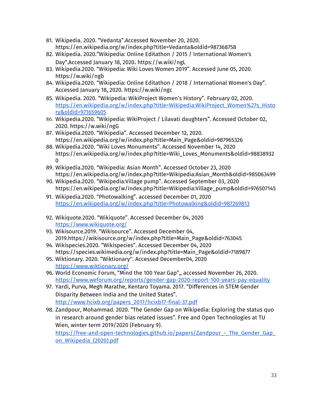- 81. Wikipedia. 2020. "Vedanta".Accessed November 20, 2020. https://en.wikipedia.org/w/index.php?title=Vedanta&oldid=987368758
- 82. Wikipedia. 2020."Wikipedia: Online Editathon / 2015 / International Women's Day".Accessed January 18, 2020. https://w.wiki/ngL
- 83. Wikipedia.2020. "Wikipedia: Wiki Loves Women 2019". Accessed June 05, 2020. https://w.wiki/ngb
- 84. Wikipedia.2020. "Wikipedia: Online Editathon / 2018 / International Women's Day". Accessed January 18, 2020. https://w.wiki/ngc
- 85. Wikipedia. 2020. "Wikipedia: WikiProject Women's History". February 02, 2020. [https://en.wikipedia.org/w/index.php?title=Wikipedia:WikiProject\\_Women%27s\\_Histo](https://en.wikipedia.org/w/index.php?title=Wikipedia:WikiProject_Women%27s_History&oldid=971659605) [ry&oldid=971659605](https://en.wikipedia.org/w/index.php?title=Wikipedia:WikiProject_Women%27s_History&oldid=971659605)
- 86. Wikipedia.2020. "Wikipedia: WikiProject / Lilavati daughters". Accessed October 02, 2020. https://w.wiki/ngG
- 87. Wikipedia.2020. "Wikipedia". Accessed December 12, 2020. https://en.wikipedia.org/w/index.php?title=Main\_Page&oldid=987965326
- 88. Wikipedia.2020. "Wiki Loves Monuments". Accessed November 14, 2020 https://en.wikipedia.org/w/index.php?title=Wiki\_Loves\_Monuments&oldid=98838932  $\Omega$
- 89. Wikipedia.2020. "Wikipedia: Asian Month". Accessed October 23, 2020 https://en.wikipedia.org/w/index.php?title=Wikipedia:Asian\_Month&oldid=985063499
- 90. Wikipedia.2020. "Wikipedia:Village pump". Accessed September 03, 2020 https://en.wikipedia.org/w/index.php?title=Wikipedia:Village\_pump&oldid=976507145
- 91. Wikipedia.2020. "Photowalking". accessed December 01, 2020 <https://en.wikipedia.org/w/index.php?title=Photowalking&oldid=987269813>
- 92. Wikiquote.2020. "Wikiquote". Accessed December 04, 2020 <https://www.wikiquote.org/>
- 93. Wikisource.2019. "Wikisource". Accessed December 04, 2019.https://wikisource.org/w/index.php?title=Main\_Page&oldid=763045
- 94. Wikispecies.2020. "Wikispecies". Accessed December 04, 2020 https://species.wikimedia.org/w/index.php?title=Main\_Page&oldid=7189877
- 95. Wiktionary. 2020. "Wiktionary''. Accessed December04, 2020 <https://www.wiktionary.org/>
- 96. World Economic Forum, "Mind the 100 Year Gap",, accessed November 26, 2020. <https://www.weforum.org/reports/gender-gap-2020-report-100-years-pay-equality>
- 97. Yardi, Purva, Megh Marathe, Kentaro Toyama. 2017. "Differences in STEM Gender Disparity Between India and the United States". [http://www.hcixb.org/papers\\_2017/hcixb17-final-37.pdf](http://www.hcixb.org/papers_2017/hcixb17-final-37.pdf)
- 98. Zandpour, Mohammad. 2020. "The Gender Gap on Wikipedia: Exploring the status quo in research around gender bias related issues". Free and Open Technologies at TU Wien, winter term 2019/2020 (February 9). https://free-and-open-technologies.github.io/papers/Zandpour - The Gender Gap [on\\_Wikipedia\\_\(2020\).pdf](https://free-and-open-technologies.github.io/papers/Zandpour_-_The_Gender_Gap_on_Wikipedia_(2020).pdf)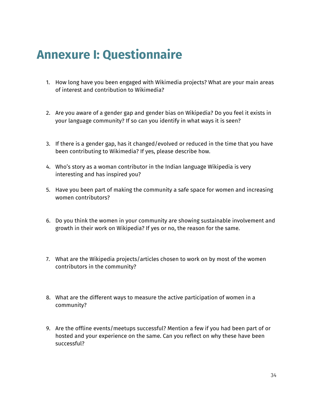# **Annexure I: Questionnaire**

- 1. How long have you been engaged with Wikimedia projects? What are your main areas of interest and contribution to Wikimedia?
- 2. Are you aware of a gender gap and gender bias on Wikipedia? Do you feel it exists in your language community? If so can you identify in what ways it is seen?
- 3. If there is a gender gap, has it changed/evolved or reduced in the time that you have been contributing to Wikimedia? If yes, please describe how.
- 4. Who's story as a woman contributor in the Indian language Wikipedia is very interesting and has inspired you?
- 5. Have you been part of making the community a safe space for women and increasing women contributors?
- 6. Do you think the women in your community are showing sustainable involvement and growth in their work on Wikipedia? If yes or no, the reason for the same.
- 7. What are the Wikipedia projects/articles chosen to work on by most of the women contributors in the community?
- 8. What are the different ways to measure the active participation of women in a community?
- 9. Are the offline events/meetups successful? Mention a few if you had been part of or hosted and your experience on the same. Can you reflect on why these have been successful?